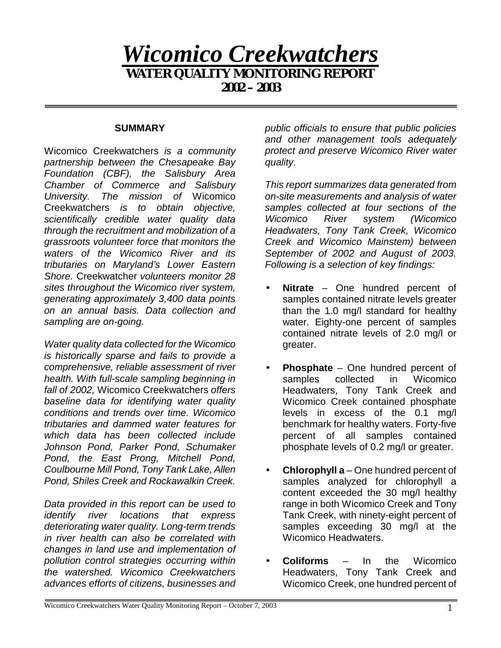# *Wicomico Creekwatchers* **WATER QUALITY MONITORING REPORT 2002 – 2003**

#### **SUMMARY**

Wicomico Creekwatchers *is a community partnership between the Chesapeake Bay Foundation (CBF), the Salisbury Area Chamber of Commerce and Salisbury University. The mission of* Wicomico Creekwatchers *is to obtain objective, scientifically credible water quality data through the recruitment and mobilization of a grassroots volunteer force that monitors the waters of the Wicomico River and its tributaries on Maryland's Lower Eastern Shore.* Creekwatcher *volunteers monitor 28 sites throughout the Wicomico river system, generating approximately 3,400 data points on an annual basis. Data collection and sampling are on-going.* 

*Water quality data collected for the Wicomico is historically sparse and fails to provide a comprehensive, reliable assessment of river health. With full-scale sampling beginning in fall of 2002,* Wicomico Creekwatchers *offers baseline data for identifying water quality conditions and trends over time. Wicomico tributaries and dammed water features for which data has been collected include Johnson Pond, Parker Pond, Schumaker Pond, the East Prong, Mitchell Pond, Coulbourne Mill Pond, Tony Tank Lake, Allen Pond, Shiles Creek and Rockawalkin Creek.* 

*Data provided in this report can be used to identify river locations that express deteriorating water quality. Long-term trends in river health can also be correlated with changes in land use and implementation of pollution control strategies occurring within the watershed. Wicomico Creekwatchers advances efforts of citizens, businesses and*  *public officials to ensure that public policies and other management tools adequately protect and preserve Wicomico River water quality.* 

*This report summarizes data generated from on-site measurements and analysis of water samples collected at four sections of the Wicomico River system (Wicomico Headwaters, Tony Tank Creek, Wicomico Creek and Wicomico Mainstem) between September of 2002 and August of 2003. Following is a selection of key findings:* 

- Nitrate One hundred percent of samples contained nitrate levels greater than the 1.0 mg/l standard for healthy water. Eighty-one percent of samples contained nitrate levels of 2.0 mg/l or greater.
- **Phosphate** One hundred percent of samples collected in Wicomico Headwaters, Tony Tank Creek and Wicomico Creek contained phosphate levels in excess of the 0.1 mg/l benchmark for healthy waters. Forty-five percent of all samples contained phosphate levels of 0.2 mg/l or greater.
- **Chlorophyll a** One hundred percent of samples analyzed for chlorophyll a content exceeded the 30 mg/l healthy range in both Wicomico Creek and Tony Tank Creek, with ninety-eight percent of samples exceeding 30 mg/l at the Wicomico Headwaters.
- **Coliforms** In the Wicomico Headwaters, Tony Tank Creek and Wicomico Creek, one hundred percent of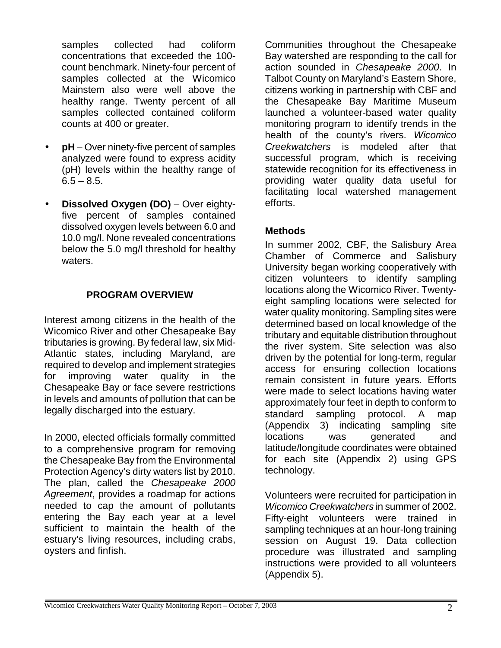samples collected had coliform concentrations that exceeded the 100 count benchmark. Ninety-four percent of samples collected at the Wicomico Mainstem also were well above the healthy range. Twenty percent of all samples collected contained coliform counts at 400 or greater.

- **pH**  Over ninety-five percent of samples analyzed were found to express acidity (pH) levels within the healthy range of  $6.5 - 8.5.$
- **Dissolved Oxygen (DO)** Over eightyfive percent of samples contained dissolved oxygen levels between 6.0 and 10.0 mg/l. None revealed concentrations below the 5.0 mg/l threshold for healthy waters.

# **PROGRAM OVERVIEW**

Interest among citizens in the health of the Wicomico River and other Chesapeake Bay tributaries is growing. By federal law, six Mid-Atlantic states, including Maryland, are required to develop and implement strategies for improving water quality in the Chesapeake Bay or face severe restrictions in levels and amounts of pollution that can be legally discharged into the estuary.

In 2000, elected officials formally committed to a comprehensive program for removing the Chesapeake Bay from the Environmental Protection Agency's dirty waters list by 2010. The plan, called the *Chesapeake 2000 Agreement*, provides a roadmap for actions needed to cap the amount of pollutants entering the Bay each year at a level sufficient to maintain the health of the estuary's living resources, including crabs, oysters and finfish.

Communities throughout the Chesapeake Bay watershed are responding to the call for action sounded in *Chesapeake 2000*. In Talbot County on Maryland's Eastern Shore, citizens working in partnership with CBF and the Chesapeake Bay Maritime Museum launched a volunteer-based water quality monitoring program to identify trends in the health of the county's rivers. *Wicomico Creekwatchers* is modeled after that successful program, which is receiving statewide recognition for its effectiveness in providing water quality data useful for facilitating local watershed management efforts.

# **Methods**

In summer 2002, CBF, the Salisbury Area Chamber of Commerce and Salisbury University began working cooperatively with citizen volunteers to identify sampling locations along the Wicomico River. Twentyeight sampling locations were selected for water quality monitoring. Sampling sites were determined based on local knowledge of the tributary and equitable distribution throughout the river system. Site selection was also driven by the potential for long-term, regular access for ensuring collection locations remain consistent in future years. Efforts were made to select locations having water approximately four feet in depth to conform to standard sampling protocol. A map (Appendix 3) indicating sampling site locations was generated and latitude/longitude coordinates were obtained for each site (Appendix 2) using GPS technology.

Volunteers were recruited for participation in *Wicomico Creekwatchers* in summer of 2002. Fifty-eight volunteers were trained in sampling techniques at an hour-long training session on August 19. Data collection procedure was illustrated and sampling instructions were provided to all volunteers (Appendix 5).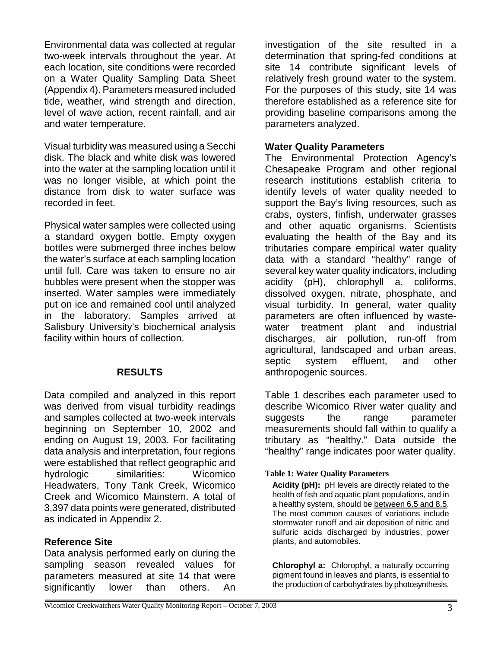Environmental data was collected at regular two-week intervals throughout the year. At each location, site conditions were recorded on a Water Quality Sampling Data Sheet (Appendix 4). Parameters measured included tide, weather, wind strength and direction, level of wave action, recent rainfall, and air and water temperature.

Visual turbidity was measured using a Secchi disk. The black and white disk was lowered into the water at the sampling location until it was no longer visible, at which point the distance from disk to water surface was recorded in feet.

Physical water samples were collected using a standard oxygen bottle. Empty oxygen bottles were submerged three inches below the water's surface at each sampling location until full. Care was taken to ensure no air bubbles were present when the stopper was inserted. Water samples were immediately put on ice and remained cool until analyzed in the laboratory. Samples arrived at Salisbury University's biochemical analysis facility within hours of collection.

# **RESULTS**

Data compiled and analyzed in this report was derived from visual turbidity readings and samples collected at two-week intervals beginning on September 10, 2002 and ending on August 19, 2003. For facilitating data analysis and interpretation, four regions were established that reflect geographic and hydrologic similarities: Wicomico Headwaters, Tony Tank Creek, Wicomico Creek and Wicomico Mainstem. A total of 3,397 data points were generated, distributed as indicated in Appendix 2.

#### **Reference Site**

Data analysis performed early on during the sampling season revealed values for parameters measured at site 14 that were significantly lower than others. An investigation of the site resulted in a determination that spring-fed conditions at site 14 contribute significant levels of relatively fresh ground water to the system. For the purposes of this study, site 14 was therefore established as a reference site for providing baseline comparisons among the parameters analyzed.

#### **Water Quality Parameters**

The Environmental Protection Agency's Chesapeake Program and other regional research institutions establish criteria to identify levels of water quality needed to support the Bay's living resources, such as crabs, oysters, finfish, underwater grasses and other aquatic organisms. Scientists evaluating the health of the Bay and its tributaries compare empirical water quality data with a standard "healthy" range of several key water quality indicators, including acidity (pH), chlorophyll a, coliforms, dissolved oxygen, nitrate, phosphate, and visual turbidity. In general, water quality parameters are often influenced by wastewater treatment plant and industrial discharges, air pollution, run-off from agricultural, landscaped and urban areas, septic system effluent, and other anthropogenic sources.

Table 1 describes each parameter used to describe Wicomico River water quality and suggests the range parameter measurements should fall within to qualify a tributary as "healthy." Data outside the "healthy" range indicates poor water quality.

#### **Table 1: Water Quality Parameters**

**Acidity (pH):** pH levels are directly related to the health of fish and aquatic plant populations, and in a healthy system, should be between 6.5 and 8.5. The most common causes of variations include stormwater runoff and air deposition of nitric and sulfuric acids discharged by industries, power plants, and automobiles.

**Chlorophyl a:** Chlorophyl, a naturally occurring pigment found in leaves and plants, is essential to the production of carbohydrates by photosynthesis.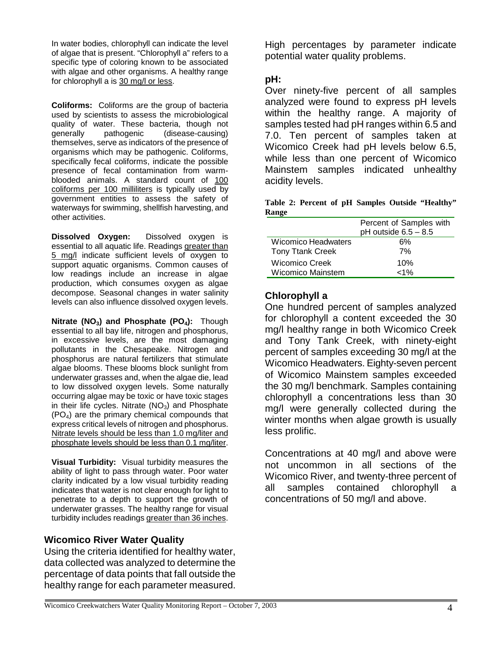In water bodies, chlorophyll can indicate the level of algae that is present. "Chlorophyll a" refers to a specific type of coloring known to be associated with algae and other organisms. A healthy range for chlorophyll a is 30 mg/l or less.

**Coliforms:** Coliforms are the group of bacteria used by scientists to assess the microbiological quality of water. These bacteria, though not generally pathogenic (disease-causing) themselves, serve as indicators of the presence of organisms which may be pathogenic. Coliforms, specifically fecal coliforms, indicate the possible presence of fecal contamination from warmblooded animals. A standard count of 100 coliforms per 100 milliliters is typically used by government entities to assess the safety of waterways for swimming, shellfish harvesting, and other activities.

**Dissolved Oxygen:** Dissolved oxygen is essential to all aquatic life. Readings greater than 5 mg/l indicate sufficient levels of oxygen to support aquatic organisms. Common causes of low readings include an increase in algae production, which consumes oxygen as algae decompose. Seasonal changes in water salinity levels can also influence dissolved oxygen levels.

**Nitrate (NO<sub>3</sub>) and Phosphate (PO<sub>4</sub>):** Though essential to all bay life, nitrogen and phosphorus, in excessive levels, are the most damaging pollutants in the Chesapeake. Nitrogen and phosphorus are natural fertilizers that stimulate algae blooms. These blooms block sunlight from underwater grasses and, when the algae die, lead to low dissolved oxygen levels. Some naturally occurring algae may be toxic or have toxic stages in their life cycles. Nitrate  $(NO<sub>3</sub>)$  and Phosphate  $(PO<sub>4</sub>)$  are the primary chemical compounds that express critical levels of nitrogen and phosphorus. Nitrate levels should be less than 1.0 mg/liter and phosphate levels should be less than 0.1 mg/liter.

**Visual Turbidity:** Visual turbidity measures the ability of light to pass through water. Poor water clarity indicated by a low visual turbidity reading indicates that water is not clear enough for light to penetrate to a depth to support the growth of underwater grasses. The healthy range for visual turbidity includes readings greater than 36 inches.

# **Wicomico River Water Quality**

Using the criteria identified for healthy water, data collected was analyzed to determine the percentage of data points that fall outside the healthy range for each parameter measured. High percentages by parameter indicate potential water quality problems.

### **pH:**

Over ninety-five percent of all samples analyzed were found to express pH levels within the healthy range. A majority of samples tested had pH ranges within 6.5 and 7.0. Ten percent of samples taken at Wicomico Creek had pH levels below 6.5, while less than one percent of Wicomico Mainstem samples indicated unhealthy acidity levels.

**Table 2: Percent of pH Samples Outside "Healthy" Range**

|                                                | Percent of Samples with<br>$pH$ outside $6.5 - 8.5$ |
|------------------------------------------------|-----------------------------------------------------|
| Wicomico Headwaters<br><b>Tony Ttank Creek</b> | 6%<br>7%                                            |
| <b>Wicomico Creek</b>                          | 10%                                                 |
| <b>Wicomico Mainstem</b>                       | ${<}1\%$                                            |

# **Chlorophyll a**

One hundred percent of samples analyzed for chlorophyll a content exceeded the 30 mg/l healthy range in both Wicomico Creek and Tony Tank Creek, with ninety-eight percent of samples exceeding 30 mg/l at the Wicomico Headwaters. Eighty-seven percent of Wicomico Mainstem samples exceeded the 30 mg/l benchmark. Samples containing chlorophyll a concentrations less than 30 mg/l were generally collected during the winter months when algae growth is usually less prolific.

Concentrations at 40 mg/l and above were not uncommon in all sections of the Wicomico River, and twenty-three percent of all samples contained chlorophyll a concentrations of 50 mg/l and above.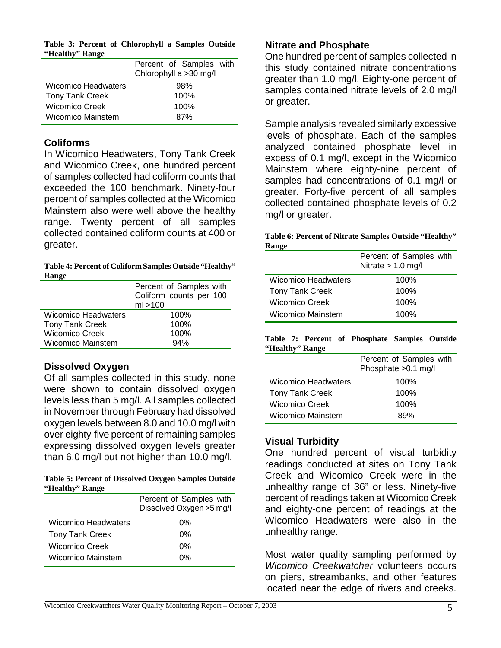|  |                 | Table 3: Percent of Chlorophyll a Samples Outside |  |  |
|--|-----------------|---------------------------------------------------|--|--|
|  | "Healthy" Range |                                                   |  |  |

|                          | Percent of Samples with<br>Chlorophyll a >30 mg/l |
|--------------------------|---------------------------------------------------|
| Wicomico Headwaters      | 98%                                               |
| <b>Tony Tank Creek</b>   | 100%                                              |
| <b>Wicomico Creek</b>    | 100%                                              |
| <b>Wicomico Mainstem</b> | 87%                                               |
|                          |                                                   |

### **Coliforms**

In Wicomico Headwaters, Tony Tank Creek and Wicomico Creek, one hundred percent of samples collected had coliform counts that exceeded the 100 benchmark. Ninety-four percent of samples collected at the Wicomico Mainstem also were well above the healthy range. Twenty percent of all samples collected contained coliform counts at 400 or greater.

**Table 4: Percent of Coliform Samples Outside "Healthy" Range** 

| Percent of Samples with<br>Coliform counts per 100<br>ml > 100 |
|----------------------------------------------------------------|
| 100%                                                           |
| 100%                                                           |
| 100%                                                           |
| 94%                                                            |
|                                                                |

# **Dissolved Oxygen**

Of all samples collected in this study, none were shown to contain dissolved oxygen levels less than 5 mg/l. All samples collected in November through February had dissolved oxygen levels between 8.0 and 10.0 mg/l with over eighty-five percent of remaining samples expressing dissolved oxygen levels greater than 6.0 mg/l but not higher than 10.0 mg/l.

**Table 5: Percent of Dissolved Oxygen Samples Outside "Healthy" Range**

|                            | Percent of Samples with<br>Dissolved Oxygen > 5 mg/l |
|----------------------------|------------------------------------------------------|
| <b>Wicomico Headwaters</b> | 0%                                                   |
| <b>Tony Tank Creek</b>     | 0%                                                   |
| <b>Wicomico Creek</b>      | 0%                                                   |
| <b>Wicomico Mainstem</b>   | በ%                                                   |

### **Nitrate and Phosphate**

One hundred percent of samples collected in this study contained nitrate concentrations greater than 1.0 mg/l. Eighty-one percent of samples contained nitrate levels of 2.0 mg/l or greater.

Sample analysis revealed similarly excessive levels of phosphate. Each of the samples analyzed contained phosphate level in excess of 0.1 mg/l, except in the Wicomico Mainstem where eighty-nine percent of samples had concentrations of 0.1 mg/l or greater. Forty-five percent of all samples collected contained phosphate levels of 0.2 mg/l or greater.

| Table 6: Percent of Nitrate Samples Outside "Healthy" |  |
|-------------------------------------------------------|--|
| Range                                                 |  |

|                        | Percent of Samples with<br>Nitrate $> 1.0$ mg/l |
|------------------------|-------------------------------------------------|
| Wicomico Headwaters    | 100%                                            |
| <b>Tony Tank Creek</b> | 100%                                            |
| <b>Wicomico Creek</b>  | 100%                                            |
| Wicomico Mainstem      | 100%                                            |

**Table 7: Percent of Phosphate Samples Outside "Healthy" Range**

|                        | Percent of Samples with<br>Phosphate > 0.1 mg/l |
|------------------------|-------------------------------------------------|
| Wicomico Headwaters    | 100%                                            |
| <b>Tony Tank Creek</b> | 100%                                            |
| Wicomico Creek         | 100%                                            |
| Wicomico Mainstem      | 89%                                             |

# **Visual Turbidity**

One hundred percent of visual turbidity readings conducted at sites on Tony Tank Creek and Wicomico Creek were in the unhealthy range of 36" or less. Ninety-five percent of readings taken at Wicomico Creek and eighty-one percent of readings at the Wicomico Headwaters were also in the unhealthy range.

Most water quality sampling performed by *Wicomico Creekwatcher* volunteers occurs on piers, streambanks, and other features located near the edge of rivers and creeks.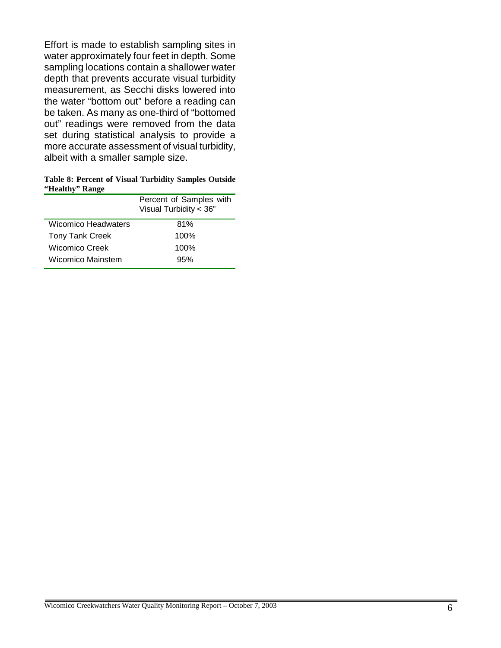Effort is made to establish sampling sites in water approximately four feet in depth. Some sampling locations contain a shallower water depth that prevents accurate visual turbidity measurement, as Secchi disks lowered into the water "bottom out" before a reading can be taken. As many as one-third of "bottomed out" readings were removed from the data set during statistical analysis to provide a more accurate assessment of visual turbidity, albeit with a smaller sample size.

**Table 8: Percent of Visual Turbidity Samples Outside "Healthy" Range**

|                        | Percent of Samples with<br>Visual Turbidity < 36" |
|------------------------|---------------------------------------------------|
| Wicomico Headwaters    | 81%                                               |
| <b>Tony Tank Creek</b> | 100%                                              |
| Wicomico Creek         | 100%                                              |
| Wicomico Mainstem      | 95%                                               |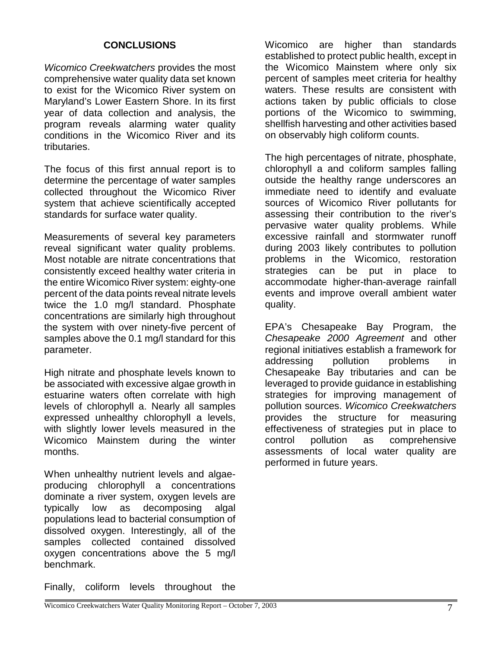### **CONCLUSIONS**

*Wicomico Creekwatchers* provides the most comprehensive water quality data set known to exist for the Wicomico River system on Maryland's Lower Eastern Shore. In its first year of data collection and analysis, the program reveals alarming water quality conditions in the Wicomico River and its tributaries.

The focus of this first annual report is to determine the percentage of water samples collected throughout the Wicomico River system that achieve scientifically accepted standards for surface water quality.

Measurements of several key parameters reveal significant water quality problems. Most notable are nitrate concentrations that consistently exceed healthy water criteria in the entire Wicomico River system: eighty-one percent of the data points reveal nitrate levels twice the 1.0 mg/l standard. Phosphate concentrations are similarly high throughout the system with over ninety-five percent of samples above the 0.1 mg/l standard for this parameter.

High nitrate and phosphate levels known to be associated with excessive algae growth in estuarine waters often correlate with high levels of chlorophyll a. Nearly all samples expressed unhealthy chlorophyll a levels, with slightly lower levels measured in the Wicomico Mainstem during the winter months.

When unhealthy nutrient levels and algaeproducing chlorophyll a concentrations dominate a river system, oxygen levels are typically low as decomposing algal populations lead to bacterial consumption of dissolved oxygen. Interestingly, all of the samples collected contained dissolved oxygen concentrations above the 5 mg/l benchmark.

Wicomico are higher than standards established to protect public health, except in the Wicomico Mainstem where only six percent of samples meet criteria for healthy waters. These results are consistent with actions taken by public officials to close portions of the Wicomico to swimming, shellfish harvesting and other activities based on observably high coliform counts.

The high percentages of nitrate, phosphate, chlorophyll a and coliform samples falling outside the healthy range underscores an immediate need to identify and evaluate sources of Wicomico River pollutants for assessing their contribution to the river's pervasive water quality problems. While excessive rainfall and stormwater runoff during 2003 likely contributes to pollution problems in the Wicomico, restoration strategies can be put in place to accommodate higher-than-average rainfall events and improve overall ambient water quality.

EPA's Chesapeake Bay Program, the *Chesapeake 2000 Agreement* and other regional initiatives establish a framework for addressing pollution problems in Chesapeake Bay tributaries and can be leveraged to provide guidance in establishing strategies for improving management of pollution sources. *Wicomico Creekwatchers* provides the structure for measuring effectiveness of strategies put in place to control pollution as comprehensive assessments of local water quality are performed in future years.

Finally, coliform levels throughout the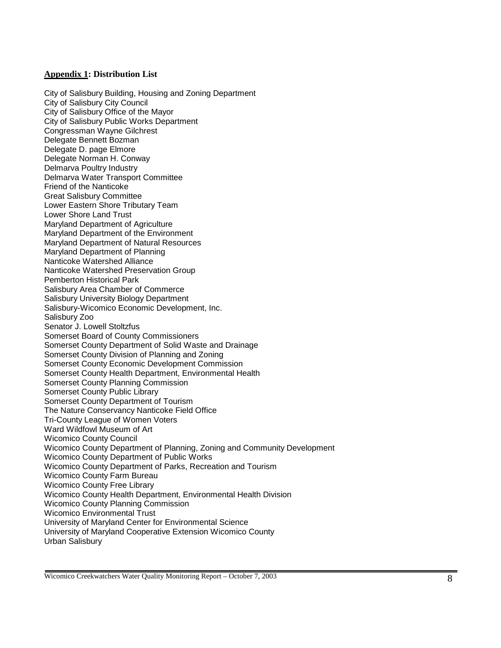#### **Appendix 1: Distribution List**

City of Salisbury Building, Housing and Zoning Department City of Salisbury City Council City of Salisbury Office of the Mayor City of Salisbury Public Works Department Congressman Wayne Gilchrest Delegate Bennett Bozman Delegate D. page Elmore Delegate Norman H. Conway Delmarva Poultry Industry Delmarva Water Transport Committee Friend of the Nanticoke Great Salisbury Committee Lower Eastern Shore Tributary Team Lower Shore Land Trust Maryland Department of Agriculture Maryland Department of the Environment Maryland Department of Natural Resources Maryland Department of Planning Nanticoke Watershed Alliance Nanticoke Watershed Preservation Group Pemberton Historical Park Salisbury Area Chamber of Commerce Salisbury University Biology Department Salisbury-Wicomico Economic Development, Inc. Salisbury Zoo Senator J. Lowell Stoltzfus Somerset Board of County Commissioners Somerset County Department of Solid Waste and Drainage Somerset County Division of Planning and Zoning Somerset County Economic Development Commission Somerset County Health Department, Environmental Health Somerset County Planning Commission Somerset County Public Library Somerset County Department of Tourism The Nature Conservancy Nanticoke Field Office Tri-County League of Women Voters Ward Wildfowl Museum of Art Wicomico County Council Wicomico County Department of Planning, Zoning and Community Development Wicomico County Department of Public Works Wicomico County Department of Parks, Recreation and Tourism Wicomico County Farm Bureau Wicomico County Free Library Wicomico County Health Department, Environmental Health Division Wicomico County Planning Commission Wicomico Environmental Trust University of Maryland Center for Environmental Science University of Maryland Cooperative Extension Wicomico County Urban Salisbury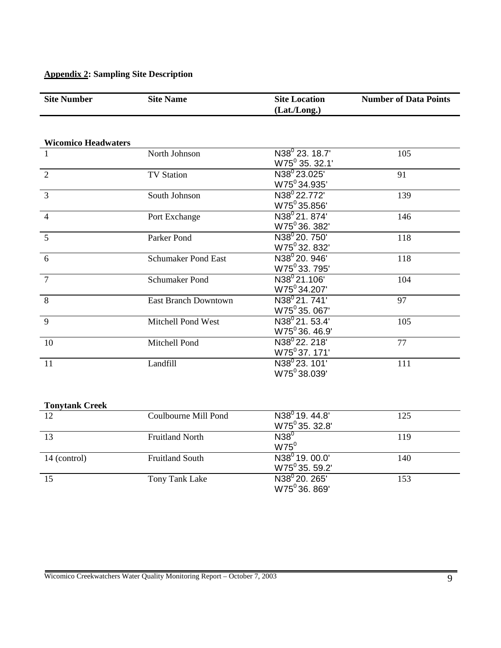# **Appendix 2: Sampling Site Description**

| <b>Site Number</b>         | <b>Site Name</b>            | <b>Site Location</b><br>(Lat./Long.) | <b>Number of Data Points</b> |
|----------------------------|-----------------------------|--------------------------------------|------------------------------|
|                            |                             |                                      |                              |
| <b>Wicomico Headwaters</b> |                             |                                      |                              |
| $\mathbf{1}$               | North Johnson               | N38 <sup>0</sup> 23, 18.7'           | 105                          |
|                            |                             | W75 <sup>0</sup> 35. 32.1'           |                              |
| $\overline{2}$             | <b>TV Station</b>           | N38 <sup>0</sup> 23.025'             | 91                           |
|                            |                             | W75 <sup>0</sup> 34.935'             |                              |
| $\overline{3}$             | South Johnson               | N38 <sup>0</sup> 22.772'             | 139                          |
|                            |                             | $W75^0$ 35.856'                      |                              |
| $\overline{4}$             | Port Exchange               | $N38^{0}$ 21, 874'                   | 146                          |
|                            |                             | W75 <sup>0</sup> 36.382              |                              |
| 5                          | Parker Pond                 | N38 <sup>0</sup> 20, 750'            | 118                          |
|                            |                             | W75 <sup>0</sup> 32.832'             |                              |
| 6                          | <b>Schumaker Pond East</b>  | N38 <sup>0</sup> 20. 946'            | 118                          |
|                            |                             | W75 <sup>0</sup> 33.795'             |                              |
| $7\phantom{.0}$            | <b>Schumaker Pond</b>       | N38 <sup>0</sup> 21.106'             | 104                          |
|                            |                             | $W75^0$ 34.207'                      |                              |
| 8                          | <b>East Branch Downtown</b> | N38 <sup>0</sup> 21.741'             | 97                           |
|                            |                             | W75 <sup>0</sup> 35.067'             |                              |
| 9                          | Mitchell Pond West          | $N38^0$ 21, 53.4'                    | 105                          |
|                            |                             | W75 <sup>0</sup> 36.46.9'            |                              |
| 10                         | Mitchell Pond               | N38 <sup>0</sup> 22, 218'            | 77                           |
|                            |                             | W75 <sup>0</sup> 37.171'             |                              |
| 11                         | Landfill                    | N38 <sup>0</sup> 23, 101'            | 111                          |
|                            |                             | W75 <sup>0</sup> 38.039'             |                              |
|                            |                             |                                      |                              |
| <b>Tonytank Creek</b>      |                             |                                      |                              |
| 12                         | Coulbourne Mill Pond        | $N38^0$ 19, 44.8'                    | 125                          |
|                            |                             | $W75^0$ 35. 32.8'                    |                              |
| 13                         | <b>Fruitland North</b>      | $N38^0$                              | 119                          |
|                            |                             | $W75^0$                              |                              |
| 14 (control)               | <b>Fruitland South</b>      | N38 <sup>0</sup> 19.00.0             | 140                          |
|                            |                             | $W75^0$ 35. 59.2'                    |                              |
| 15                         | Tony Tank Lake              | N38 <sup>0</sup> 20. 265'            | 153                          |
|                            |                             | W75 <sup>0</sup> 36.869'             |                              |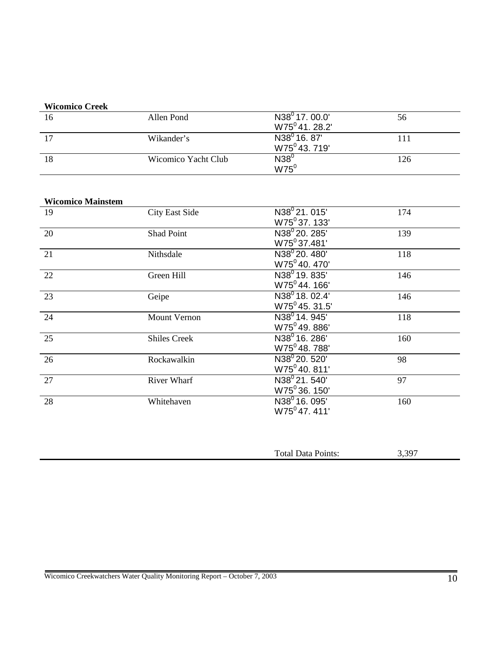| <b>Wicomico Creek</b>    |                     |                           |     |
|--------------------------|---------------------|---------------------------|-----|
| 16                       | Allen Pond          | N38 <sup>0</sup> 17.00.0' | 56  |
|                          |                     | $W75^041.28.2'$           |     |
| 17                       | Wikander's          | N38 <sup>0</sup> 16.87'   | 111 |
|                          |                     | W75 <sup>0</sup> 43. 719' |     |
| 18                       | Wicomico Yacht Club | $N38^0$                   | 126 |
|                          |                     | $W75^0$                   |     |
|                          |                     |                           |     |
|                          |                     |                           |     |
| <b>Wicomico Mainstem</b> |                     |                           |     |

| 19 | <b>City East Side</b> | $\overline{N38^0 21.015}$  | 174 |
|----|-----------------------|----------------------------|-----|
|    |                       | W75 <sup>0</sup> 37, 133'  |     |
| 20 | Shad Point            | N38 <sup>0</sup> 20, 285'  | 139 |
|    |                       | W75 <sup>0</sup> 37.481'   |     |
| 21 | Nithsdale             | N38 <sup>0</sup> 20, 480'  | 118 |
|    |                       | W75 <sup>0</sup> 40, 470'  |     |
| 22 | Green Hill            | N38 <sup>0</sup> 19, 835'  | 146 |
|    |                       | W75 <sup>0</sup> 44.166'   |     |
| 23 | Geipe                 | $N38^0$ 18, 02.4'          | 146 |
|    |                       | $W75^{\circ}$ 45, 31.5'    |     |
| 24 | <b>Mount Vernon</b>   | N38 <sup>0</sup> 14, 945'  | 118 |
|    |                       | W75 <sup>0</sup> 49.886'   |     |
| 25 | <b>Shiles Creek</b>   | N38 <sup>0</sup> 16, 286'  | 160 |
|    |                       | W75 <sup>0</sup> 48.788'   |     |
| 26 | Rockawalkin           | N38 <sup>0</sup> 20. 520'  | 98  |
|    |                       | W75 <sup>0</sup> 40.811'   |     |
| 27 | River Wharf           | $\overline{N38^0}$ 21.540' | 97  |
|    |                       | W75 <sup>0</sup> 36.150'   |     |
| 28 | Whitehaven            | N38 <sup>0</sup> 16, 095'  | 160 |
|    |                       | $W75^{\circ}$ 47, 411'     |     |
|    |                       |                            |     |

| 1 W . | ാല |
|-------|----|
|       |    |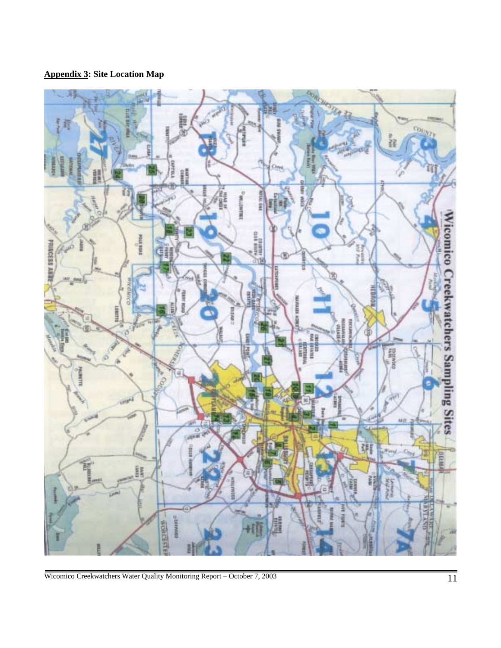# **Appendix 3: Site Location Map**



Wicomico Creekwatchers Water Quality Monitoring Report – October 7, 2003 11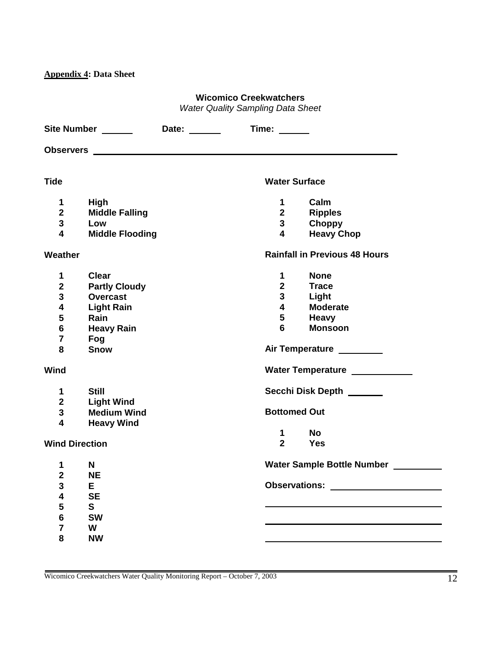**Appendix 4: Data Sheet** 

#### **Wicomico Creekwatchers**

*Water Quality Sampling Data Sheet* 

|                         | Site Number ______<br>Date: ______                                                                                                                                                                                                  | Time:                                        |
|-------------------------|-------------------------------------------------------------------------------------------------------------------------------------------------------------------------------------------------------------------------------------|----------------------------------------------|
|                         | <b>Observers</b> and the contract of the contract of the contract of the contract of the contract of the contract of the contract of the contract of the contract of the contract of the contract of the contract of the contract o |                                              |
| <b>Tide</b>             |                                                                                                                                                                                                                                     | <b>Water Surface</b>                         |
| $\mathbf 1$             | High                                                                                                                                                                                                                                | Calm<br>$\mathbf 1$                          |
| $\overline{2}$          | <b>Middle Falling</b>                                                                                                                                                                                                               | $2^{\circ}$<br><b>Ripples</b>                |
| $\mathbf{3}$            | Low                                                                                                                                                                                                                                 | <b>Choppy</b><br>$3^{\circ}$                 |
| $\overline{\mathbf{4}}$ | <b>Middle Flooding</b>                                                                                                                                                                                                              | $\overline{\mathbf{4}}$<br><b>Heavy Chop</b> |
| Weather                 |                                                                                                                                                                                                                                     | <b>Rainfall in Previous 48 Hours</b>         |
| $\mathbf 1$             | <b>Clear</b>                                                                                                                                                                                                                        | <b>None</b><br>$\mathbf 1$                   |
| $\mathbf{2}$            | <b>Partly Cloudy</b>                                                                                                                                                                                                                | 2 <sup>1</sup><br><b>Trace</b>               |
| $\mathbf{3}$            | <b>Overcast</b>                                                                                                                                                                                                                     | 3 <sup>7</sup><br>Light                      |
| $\overline{\mathbf{4}}$ | <b>Light Rain</b>                                                                                                                                                                                                                   | <b>Moderate</b><br>$\overline{\mathbf{4}}$   |
| $\overline{\mathbf{5}}$ | Rain                                                                                                                                                                                                                                | $5\overline{)}$<br><b>Heavy</b>              |
| $\bf 6$                 | <b>Heavy Rain</b>                                                                                                                                                                                                                   | <b>Monsoon</b><br>6                          |
| $\overline{7}$          | Fog                                                                                                                                                                                                                                 |                                              |
| 8                       | <b>Snow</b>                                                                                                                                                                                                                         | Air Temperature ________                     |
| <b>Wind</b>             |                                                                                                                                                                                                                                     | Water Temperature ____________               |
| $\mathbf 1$             | <b>Still</b>                                                                                                                                                                                                                        | Secchi Disk Depth ______                     |
| $\mathbf{2}$            | <b>Light Wind</b>                                                                                                                                                                                                                   |                                              |
| $\overline{\mathbf{3}}$ | <b>Medium Wind</b>                                                                                                                                                                                                                  | <b>Bottomed Out</b>                          |
| 4                       | <b>Heavy Wind</b>                                                                                                                                                                                                                   |                                              |
|                         |                                                                                                                                                                                                                                     | 1<br><b>No</b>                               |
|                         | <b>Wind Direction</b>                                                                                                                                                                                                               | 2 <sup>1</sup><br><b>Yes</b>                 |
| $\mathbf 1$             | N                                                                                                                                                                                                                                   | Water Sample Bottle Number                   |
| $\overline{\mathbf{2}}$ | <b>NE</b>                                                                                                                                                                                                                           |                                              |
| 3                       | E.                                                                                                                                                                                                                                  | Observations: ________________________       |
| $\overline{\mathbf{4}}$ | <b>SE</b>                                                                                                                                                                                                                           |                                              |
| $5\phantom{1}$          | S                                                                                                                                                                                                                                   |                                              |
| $6\phantom{1}$          | <b>SW</b>                                                                                                                                                                                                                           |                                              |
| $\overline{7}$          | W                                                                                                                                                                                                                                   |                                              |
| 8                       | <b>NW</b>                                                                                                                                                                                                                           |                                              |
|                         |                                                                                                                                                                                                                                     |                                              |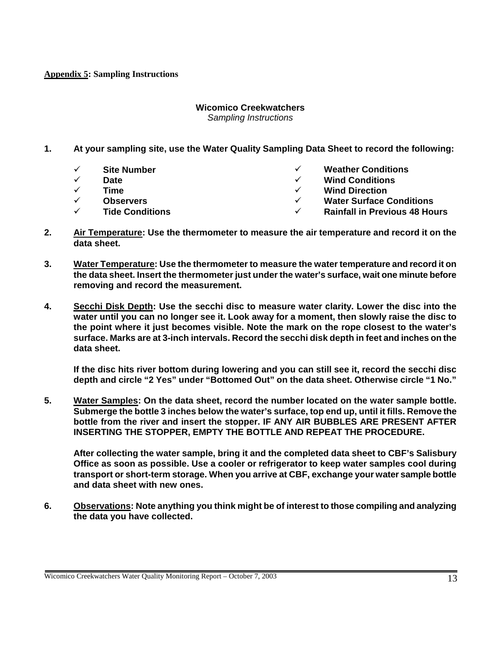#### **Appendix 5: Sampling Instructions**

#### **Wicomico Creekwatchers**

*Sampling Instructions* 

- **1. At your sampling site, use the Water Quality Sampling Data Sheet to record the following:** 
	- ! **Site Number**
	- ! **Date**
	- ! **Time**
	- ! **Observers**
	- ! **Tide Conditions**
- ! **Weather Conditions**
- ! **Wind Conditions**
- **Wind Direction**
- ! **Water Surface Conditions**
- ! **Rainfall in Previous 48 Hours**
- **2. Air Temperature: Use the thermometer to measure the air temperature and record it on the data sheet.**
- **3. Water Temperature: Use the thermometer to measure the water temperature and record it on the data sheet. Insert the thermometer just under the water's surface, wait one minute before removing and record the measurement.**
- **4. Secchi Disk Depth: Use the secchi disc to measure water clarity. Lower the disc into the water until you can no longer see it. Look away for a moment, then slowly raise the disc to the point where it just becomes visible. Note the mark on the rope closest to the water's surface. Marks are at 3-inch intervals. Record the secchi disk depth in feet and inches on the data sheet.**

**If the disc hits river bottom during lowering and you can still see it, record the secchi disc depth and circle "2 Yes" under "Bottomed Out" on the data sheet. Otherwise circle "1 No."** 

**5. Water Samples: On the data sheet, record the number located on the water sample bottle. Submerge the bottle 3 inches below the water's surface, top end up, until it fills. Remove the bottle from the river and insert the stopper. IF ANY AIR BUBBLES ARE PRESENT AFTER INSERTING THE STOPPER, EMPTY THE BOTTLE AND REPEAT THE PROCEDURE.** 

**After collecting the water sample, bring it and the completed data sheet to CBF's Salisbury Office as soon as possible. Use a cooler or refrigerator to keep water samples cool during transport or short-term storage. When you arrive at CBF, exchange your water sample bottle and data sheet with new ones.** 

**6. Observations: Note anything you think might be of interest to those compiling and analyzing the data you have collected.**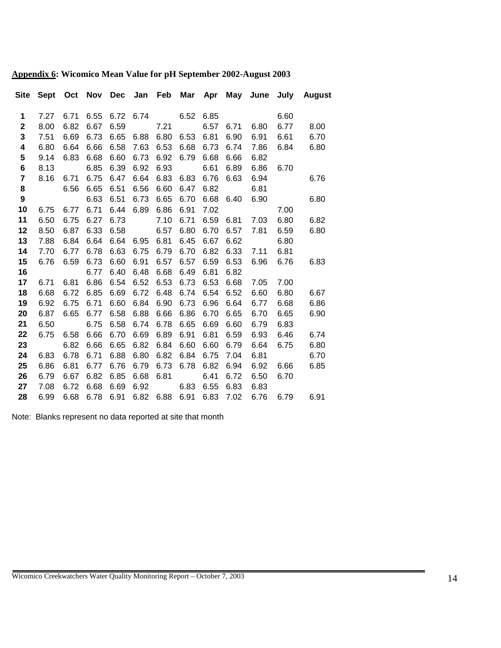|                |      |      |      |      |      |                |                |      |      |      |      | Site Sept Oct Nov Dec Jan Feb Mar Apr May June July August |
|----------------|------|------|------|------|------|----------------|----------------|------|------|------|------|------------------------------------------------------------|
| 1              | 7.27 | 6.71 | 6.55 |      |      |                | 6.72 6.74 6.52 | 6.85 |      |      | 6.60 |                                                            |
| $\mathbf 2$    | 8.00 | 6.82 | 6.67 | 6.59 |      | 7.21           |                | 6.57 | 6.71 | 6.80 | 6.77 | 8.00                                                       |
| 3              | 7.51 | 6.69 | 6.73 | 6.65 | 6.88 | 6.80           | 6.53 6.81      |      | 6.90 | 6.91 | 6.61 | 6.70                                                       |
| 4              | 6.80 | 6.64 | 6.66 | 6.58 | 7.63 | 6.53           | 6.68           | 6.73 | 6.74 | 7.86 | 6.84 | 6.80                                                       |
| 5              | 9.14 | 6.83 | 6.68 | 6.60 | 6.73 | 6.92           | 6.79           | 6.68 | 6.66 | 6.82 |      |                                                            |
| 6              | 8.13 |      | 6.85 | 6.39 | 6.92 | 6.93           |                | 6.61 | 6.89 | 6.86 | 6.70 |                                                            |
| $\overline{7}$ | 8.16 | 6.71 | 6.75 | 6.47 | 6.64 | 6.83           | 6.83           | 6.76 | 6.63 | 6.94 |      | 6.76                                                       |
| 8              |      | 6.56 | 6.65 | 6.51 | 6.56 | 6.60           | 6.47           | 6.82 |      | 6.81 |      |                                                            |
| 9              |      |      | 6.63 | 6.51 | 6.73 | 6.65           | 6.70           | 6.68 | 6.40 | 6.90 |      | 6.80                                                       |
| 10             | 6.75 | 6.77 | 6.71 | 6.44 | 6.89 | 6.86           | 6.91           | 7.02 |      |      | 7.00 |                                                            |
| 11             | 6.50 | 6.75 | 6.27 | 6.73 |      | 7.10           | 6.71           | 6.59 | 6.81 | 7.03 | 6.80 | 6.82                                                       |
| 12             | 8.50 | 6.87 | 6.33 | 6.58 |      | 6.57           | 6.80           | 6.70 | 6.57 | 7.81 | 6.59 | 6.80                                                       |
| 13             | 7.88 | 6.84 | 6.64 | 6.64 | 6.95 | 6.81           | 6.45           | 6.67 | 6.62 |      | 6.80 |                                                            |
| 14             | 7.70 | 6.77 | 6.78 | 6.63 | 6.75 | 6.79           | 6.70           | 6.82 | 6.33 | 7.11 | 6.81 |                                                            |
| 15             | 6.76 | 6.59 | 6.73 | 6.60 | 6.91 | 6.57           | 6.57           | 6.59 | 6.53 | 6.96 | 6.76 | 6.83                                                       |
| 16             |      |      | 6.77 | 6.40 | 6.48 | 6.68           | 6.49           | 6.81 | 6.82 |      |      |                                                            |
| 17             | 6.71 | 6.81 | 6.86 | 6.54 | 6.52 | 6.53           | 6.73           | 6.53 | 6.68 | 7.05 | 7.00 |                                                            |
| 18             | 6.68 | 6.72 | 6.85 | 6.69 | 6.72 | 6.48           | 6.74           | 6.54 | 6.52 | 6.60 | 6.80 | 6.67                                                       |
| 19             | 6.92 | 6.75 | 6.71 | 6.60 | 6.84 | 6.90           | 6.73           | 6.96 | 6.64 | 6.77 | 6.68 | 6.86                                                       |
| 20             | 6.87 | 6.65 | 6.77 | 6.58 | 6.88 | 6.66           | 6.86           | 6.70 | 6.65 | 6.70 | 6.65 | 6.90                                                       |
| 21             | 6.50 |      | 6.75 | 6.58 | 6.74 | 6.78           | 6.65           | 6.69 | 6.60 | 6.79 | 6.83 |                                                            |
| 22             | 6.75 | 6.58 | 6.66 | 6.70 | 6.69 | 6.89           | 6.91           | 6.81 | 6.59 | 6.93 | 6.46 | 6.74                                                       |
| 23             |      | 6.82 | 6.66 | 6.65 | 6.82 | 6.84           | 6.60           | 6.60 | 6.79 | 6.64 | 6.75 | 6.80                                                       |
| 24             | 6.83 | 6.78 | 6.71 | 6.88 | 6.80 | 6.82           | 6.84           | 6.75 | 7.04 | 6.81 |      | 6.70                                                       |
| 25             | 6.86 | 6.81 | 6.77 | 6.76 | 6.79 | 6.73           | 6.78           | 6.82 | 6.94 | 6.92 | 6.66 | 6.85                                                       |
| 26             | 6.79 | 6.67 | 6.82 | 6.85 | 6.68 | 6.81           |                | 6.41 | 6.72 | 6.50 | 6.70 |                                                            |
| 27             | 7.08 | 6.72 | 6.68 | 6.69 | 6.92 |                | 6.83           | 6.55 | 6.83 | 6.83 |      |                                                            |
| 28             | 6.99 | 6.68 | 6.78 | 6.91 |      | 6.82 6.88 6.91 |                | 6.83 | 7.02 | 6.76 | 6.79 | 6.91                                                       |

### **Appendix 6: Wicomico Mean Value for pH September 2002-August 2003**

Note: Blanks represent no data reported at site that month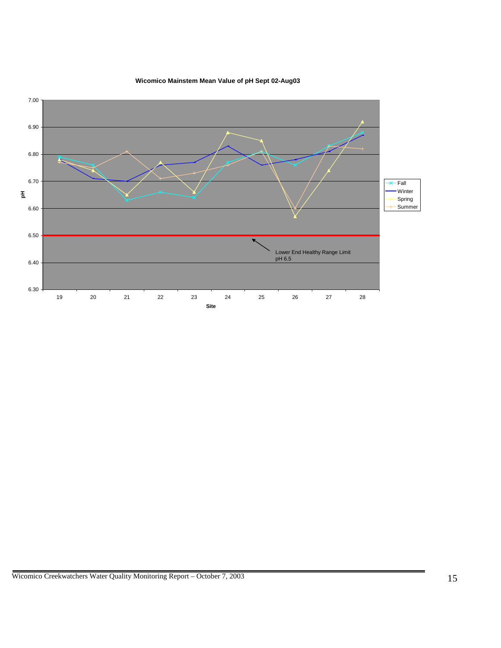

#### **Wicomico Mainstem Mean Value of pH Sept 02-Aug03**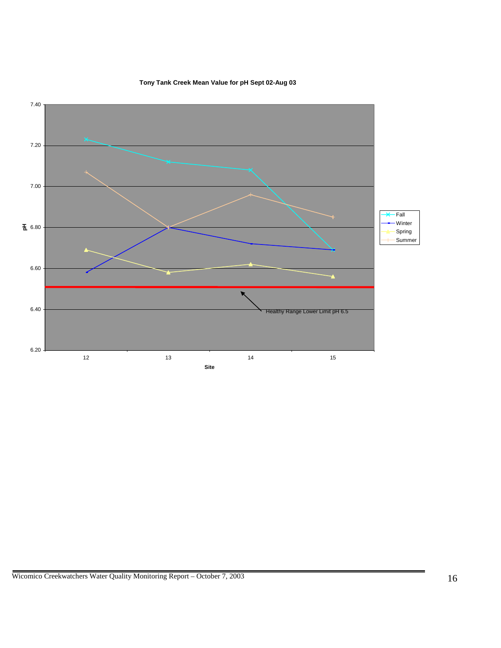

#### **Tony Tank Creek Mean Value for pH Sept 02-Aug 03**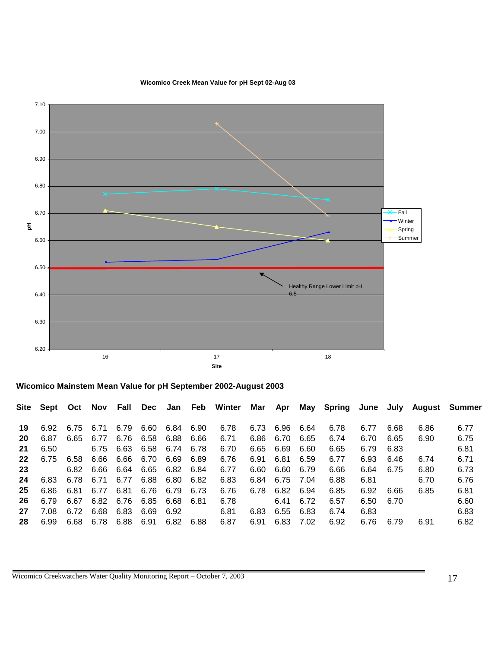

**Wicomico Creek Mean Value for pH Sept 02-Aug 03**

**Wicomico Mainstem Mean Value for pH September 2002-August 2003** 

|           |      |      |                                    |      |                          |      |      |      |                |      |      |      |      |      | Site Sept Oct Nov Fall Dec Jan Feb Winter Mar Apr May Spring June July August Summer |
|-----------|------|------|------------------------------------|------|--------------------------|------|------|------|----------------|------|------|------|------|------|--------------------------------------------------------------------------------------|
| 19        |      |      | 6.92 6.75 6.71 6.79 6.60 6.84 6.90 |      |                          |      | 6.78 |      | 6.73 6.96 6.64 |      | 6.78 | 6.77 | 6.68 | 6.86 | 6.77                                                                                 |
| <b>20</b> | 6.87 |      | 6.65 6.77 6.76 6.58 6.88 6.66      |      |                          |      | 6.71 |      | 6.86 6.70 6.65 |      | 6.74 | 6.70 | 6.65 | 6.90 | 6.75                                                                                 |
| 21        | 6.50 |      |                                    |      | 6.75 6.63 6.58 6.74 6.78 |      | 6.70 |      | 6.65 6.69      | 6.60 | 6.65 | 6.79 | 6.83 |      | 6.81                                                                                 |
| 22        |      |      | 6.75 6.58 6.66 6.66 6.70 6.69 6.89 |      |                          |      | 6.76 | 6.91 | 6.81           | 6.59 | 6.77 | 6.93 | 6.46 | 6.74 | 6.71                                                                                 |
| -23       |      |      | 6.82 6.66 6.64 6.65 6.82 6.84      |      |                          |      | 6.77 | 6.60 | 6.60 6.79      |      | 6.66 | 6.64 | 6.75 | 6.80 | 6.73                                                                                 |
| 24        | 6.83 |      | 6.78 6.71 6.77 6.88 6.80           |      |                          | 6.82 | 6.83 |      | 6.84 6.75 7.04 |      | 6.88 | 6.81 |      | 6.70 | 6.76                                                                                 |
| -25       | 6.86 |      | 6.81 6.77 6.81 6.76                |      | 6.79                     | 6.73 | 6.76 |      | 6.78 6.82 6.94 |      | 6.85 | 6.92 | 6.66 | 6.85 | 6.81                                                                                 |
| 26        | 6.79 | 6.67 |                                    |      | 6.82 6.76 6.85 6.68 6.81 |      | 6.78 |      | 6.41           | 6.72 | 6.57 | 6.50 | 6.70 |      | 6.60                                                                                 |
| 27        | 7.08 |      | 6.72 6.68 6.83 6.69 6.92           |      |                          |      | 6.81 | 6.83 | 6.55           | 6.83 | 6.74 | 6.83 |      |      | 6.83                                                                                 |
| 28        | 6.99 |      | 6.68 6.78 6.88                     | 6.91 | 6.82 6.88                |      | 6.87 | 6.91 | 6.83 7.02      |      | 6.92 | 6.76 | 6.79 | 6.91 | 6.82                                                                                 |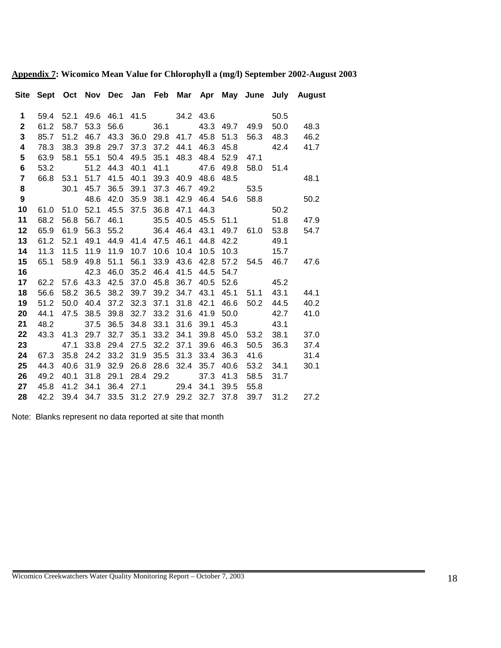|                |      |      |                     |           |           |      |                                    |      |                                         |                                                                                                                 |           | Site Sept Oct Nov Dec Jan Feb Mar Apr May June July August |
|----------------|------|------|---------------------|-----------|-----------|------|------------------------------------|------|-----------------------------------------|-----------------------------------------------------------------------------------------------------------------|-----------|------------------------------------------------------------|
| $\mathbf 1$    | 59.4 | 52.1 |                     |           |           |      |                                    |      | 49.6 46.1 41.5 34.2 43.6                |                                                                                                                 | 50.5      |                                                            |
| $\mathbf 2$    | 61.2 | 58.7 |                     |           |           |      |                                    |      | 53.3 56.6 36.1 43.3 49.7                | 49.9                                                                                                            | 50.0      | 48.3                                                       |
| 3              | 85.7 |      |                     |           |           |      |                                    |      | 51.2 46.7 43.3 36.0 29.8 41.7 45.8 51.3 | 56.3                                                                                                            | 48.3      | 46.2                                                       |
| 4              | 78.3 | 38.3 |                     | 39.8 29.7 |           |      | 37.3 37.2 44.1                     | 46.3 | 45.8                                    |                                                                                                                 | 42.4      | 41.7                                                       |
| 5              | 63.9 | 58.1 | 55.1 50.4           |           | 49.5 35.1 |      | 48.3 48.4                          |      | 52.9                                    | 47.1                                                                                                            |           |                                                            |
| $\bf 6$        | 53.2 |      |                     | 51.2 44.3 | 40.1 41.1 |      |                                    |      | 47.6 49.8                               |                                                                                                                 | 58.0 51.4 |                                                            |
| $\overline{7}$ |      |      | 66.8 53.1 51.7 41.5 |           |           |      |                                    |      |                                         | 40.1 39.3 40.9 48.6 48.5                                                                                        |           | 48.1                                                       |
| 8              |      |      |                     |           |           |      |                                    |      |                                         | $30.1$ 45.7 $36.5$ $39.1$ $37.3$ 46.7 $49.2$ 53.5<br>48.6 $42.0$ $25.0$ $25.0$ $25.1$ $37.3$ $46.7$ $49.2$ 53.5 |           |                                                            |
| 9              |      |      |                     | 48.6 42.0 | 35.9      | 38.1 |                                    |      |                                         | 42.9 46.4 54.6 58.8                                                                                             |           | 50.2                                                       |
| 10             |      |      |                     |           |           |      | 61.0 51.0 52.1 45.5 37.5 36.8 47.1 |      |                                         | 44.3                                                                                                            | 50.2      |                                                            |
| 11             | 68.2 |      |                     |           |           |      |                                    |      |                                         | 56.8 56.7 46.1 35.5 40.5 45.5 51.1                                                                              | 51.8      | 47.9                                                       |
| 12             | 65.9 | 61.9 |                     |           |           |      | 56.3 55.2 36.4 46.4 43.1           |      |                                         | 49.7 61.0 53.8                                                                                                  |           | 54.7                                                       |
| 13             | 61.2 | 52.1 |                     |           |           |      | 49.1 44.9 41.4 47.5 46.1           | 44.8 |                                         | 42.2                                                                                                            | 49.1      |                                                            |
| 14             |      |      | 11.3 11.5 11.9 11.9 |           |           |      | 10.7 10.6 10.4 10.5                |      |                                         | 10.3 15.7                                                                                                       |           |                                                            |
| 15             |      |      | 65.1 58.9 49.8 51.1 |           |           |      | 56.1 33.9 43.6 42.8                |      |                                         |                                                                                                                 |           | 57.2 54.5 46.7 47.6                                        |
| 16             |      |      |                     |           |           |      | 42.3 46.0 35.2 46.4 41.5 44.5      |      | 54.7                                    |                                                                                                                 |           |                                                            |
| 17             |      |      | 62.2 57.6 43.3 42.5 |           | 37.0      | 45.8 | 36.7                               | 40.5 |                                         | 52.6 45.2                                                                                                       |           |                                                            |
| 18             | 56.6 | 58.2 | 36.5 38.2           |           | 39.7      |      | 39.2 34.7 43.1                     |      | 45.1                                    | 51.1                                                                                                            | 43.1      | 44.1                                                       |
| 19             | 51.2 | 50.0 | 40.4 37.2           |           | 32.3 37.1 |      | 31.8 42.1                          |      | 46.6                                    | 50.2                                                                                                            | 44.5      | 40.2                                                       |
| 20             | 44.1 |      | 47.5 38.5 39.8      |           |           |      | 32.7 33.2 31.6 41.9                |      |                                         | 50.0                                                                                                            | 42.7      | 41.0                                                       |
| 21             | 48.2 |      | 37.5 36.5           |           | 34.8 33.1 |      | 31.6 39.1                          |      |                                         | 45.3                                                                                                            | 43.1      |                                                            |
| 22             | 43.3 |      | 41.3 29.7           | 32.7      | 35.1      |      | 33.2 34.1                          | 39.8 | 45.0                                    | 53.2                                                                                                            | 38.1      | 37.0                                                       |
| 23             |      | 47.1 | 33.8 29.4           |           |           |      | 27.5 32.2 37.1                     | 39.6 | 46.3                                    | 50.5                                                                                                            | 36.3      | 37.4                                                       |
| 24             | 67.3 | 35.8 | 24.2 33.2           |           |           |      | 31.9 35.5 31.3 33.4                |      | 36.3                                    |                                                                                                                 | 41.6      | 31.4                                                       |
| 25             | 44.3 |      | 40.6 31.9 32.9      |           |           |      | 26.8 28.6 32.4 35.7                |      | 40.6                                    | 53.2                                                                                                            | 34.1      | 30.1                                                       |
| 26             | 49.2 | 40.1 | 31.8 29.1           |           |           |      | 28.4 29.2 37.3                     |      | 41.3                                    | 58.5                                                                                                            | 31.7      |                                                            |
| 27             |      |      |                     |           |           |      | 45.8 41.2 34.1 36.4 27.1 29.4 34.1 |      | 39.5                                    | 55.8                                                                                                            |           |                                                            |
| 28             | 42.2 |      |                     |           |           |      |                                    |      | 39.4 34.7 33.5 31.2 27.9 29.2 32.7 37.8 | 39.7                                                                                                            | 31.2      | 27.2                                                       |

**Appendix 7: Wicomico Mean Value for Chlorophyll a (mg/l) September 2002-August 2003** 

Note: Blanks represent no data reported at site that month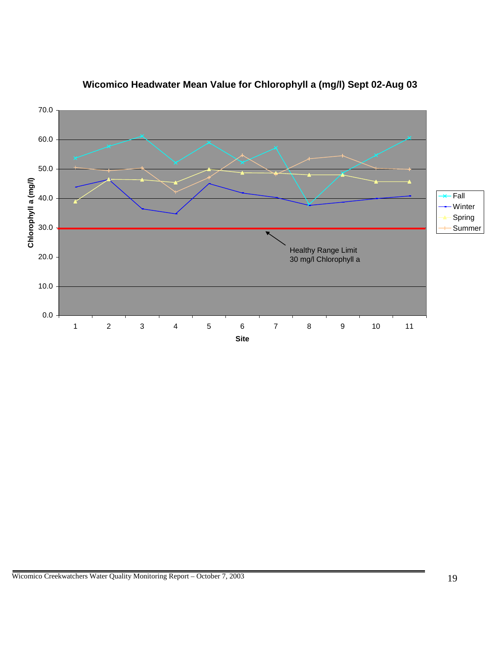

# **Wicomico Headwater Mean Value for Chlorophyll a (mg/l) Sept 02-Aug 03**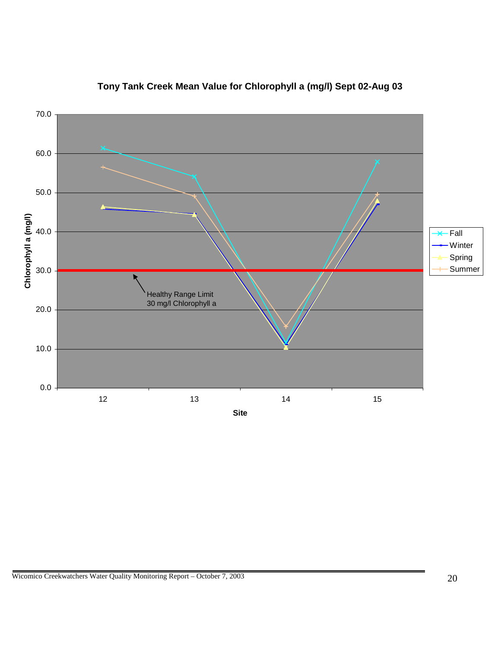

# **Tony Tank Creek Mean Value for Chlorophyll a (mg/l) Sept 02-Aug 03**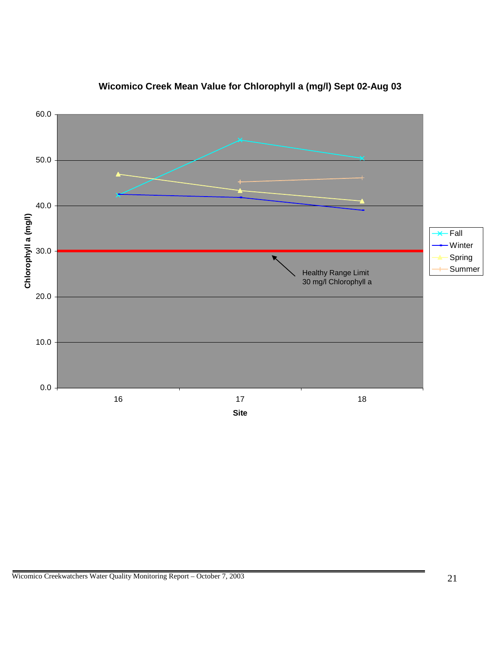

# **Wicomico Creek Mean Value for Chlorophyll a (mg/l) Sept 02-Aug 03**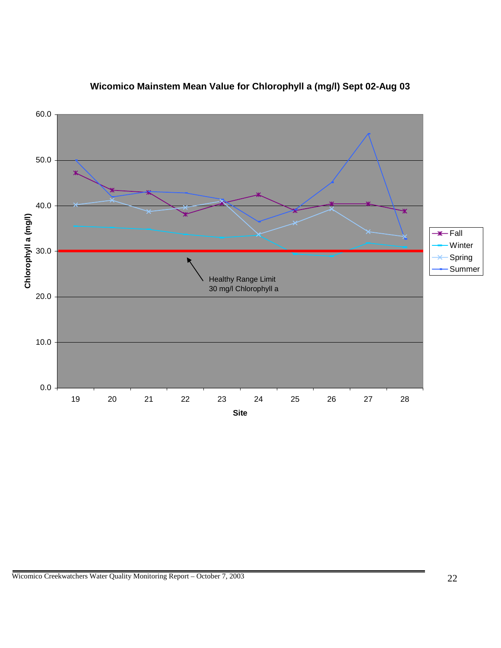

# **Wicomico Mainstem Mean Value for Chlorophyll a (mg/l) Sept 02-Aug 03**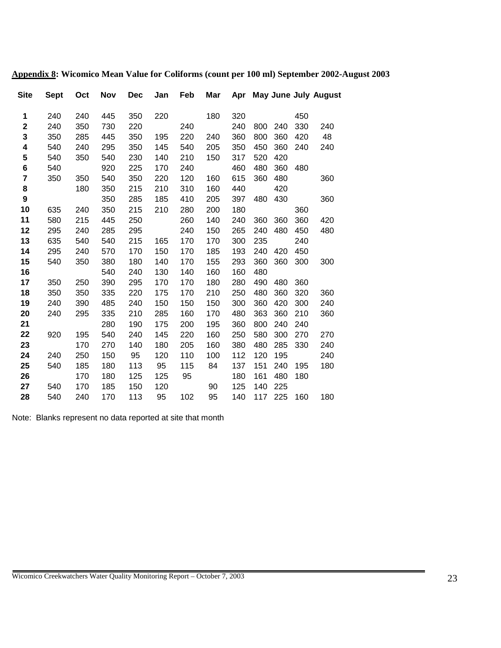| <b>Site</b>             | <b>Sept</b> | Oct | Nov | <b>Dec</b> | Jan | Feb | Mar |     |     |     |     | Apr May June July August |
|-------------------------|-------------|-----|-----|------------|-----|-----|-----|-----|-----|-----|-----|--------------------------|
| 1                       | 240         | 240 | 445 | 350        | 220 |     | 180 | 320 |     |     | 450 |                          |
| $\mathbf 2$             | 240         | 350 | 730 | 220        |     | 240 |     | 240 | 800 | 240 | 330 | 240                      |
| 3                       | 350         | 285 | 445 | 350        | 195 | 220 | 240 | 360 | 800 | 360 | 420 | 48                       |
| 4                       | 540         | 240 | 295 | 350        | 145 | 540 | 205 | 350 | 450 | 360 | 240 | 240                      |
| 5                       | 540         | 350 | 540 | 230        | 140 | 210 | 150 | 317 | 520 | 420 |     |                          |
| 6                       | 540         |     | 920 | 225        | 170 | 240 |     | 460 | 480 | 360 | 480 |                          |
| $\overline{\mathbf{r}}$ | 350         | 350 | 540 | 350        | 220 | 120 | 160 | 615 | 360 | 480 |     | 360                      |
| 8                       |             | 180 | 350 | 215        | 210 | 310 | 160 | 440 |     | 420 |     |                          |
| 9                       |             |     | 350 | 285        | 185 | 410 | 205 | 397 | 480 | 430 |     | 360                      |
| 10                      | 635         | 240 | 350 | 215        | 210 | 280 | 200 | 180 |     |     | 360 |                          |
| 11                      | 580         | 215 | 445 | 250        |     | 260 | 140 | 240 | 360 | 360 | 360 | 420                      |
| 12                      | 295         | 240 | 285 | 295        |     | 240 | 150 | 265 | 240 | 480 | 450 | 480                      |
| 13                      | 635         | 540 | 540 | 215        | 165 | 170 | 170 | 300 | 235 |     | 240 |                          |
| 14                      | 295         | 240 | 570 | 170        | 150 | 170 | 185 | 193 | 240 | 420 | 450 |                          |
| 15                      | 540         | 350 | 380 | 180        | 140 | 170 | 155 | 293 | 360 | 360 | 300 | 300                      |
| 16                      |             |     | 540 | 240        | 130 | 140 | 160 | 160 | 480 |     |     |                          |
| 17                      | 350         | 250 | 390 | 295        | 170 | 170 | 180 | 280 | 490 | 480 | 360 |                          |
| 18                      | 350         | 350 | 335 | 220        | 175 | 170 | 210 | 250 | 480 | 360 | 320 | 360                      |
| 19                      | 240         | 390 | 485 | 240        | 150 | 150 | 150 | 300 | 360 | 420 | 300 | 240                      |
| 20                      | 240         | 295 | 335 | 210        | 285 | 160 | 170 | 480 | 363 | 360 | 210 | 360                      |
| 21                      |             |     | 280 | 190        | 175 | 200 | 195 | 360 | 800 | 240 | 240 |                          |
| 22                      | 920         | 195 | 540 | 240        | 145 | 220 | 160 | 250 | 580 | 300 | 270 | 270                      |
| 23                      |             | 170 | 270 | 140        | 180 | 205 | 160 | 380 | 480 | 285 | 330 | 240                      |
| 24                      | 240         | 250 | 150 | 95         | 120 | 110 | 100 | 112 | 120 | 195 |     | 240                      |
| 25                      | 540         | 185 | 180 | 113        | 95  | 115 | 84  | 137 | 151 | 240 | 195 | 180                      |
| 26                      |             | 170 | 180 | 125        | 125 | 95  |     | 180 | 161 | 480 | 180 |                          |
| 27                      | 540         | 170 | 185 | 150        | 120 |     | 90  | 125 | 140 | 225 |     |                          |
| 28                      | 540         | 240 | 170 | 113        | 95  | 102 | 95  | 140 | 117 | 225 | 160 | 180                      |

**Appendix 8: Wicomico Mean Value for Coliforms (count per 100 ml) September 2002-August 2003** 

Note: Blanks represent no data reported at site that month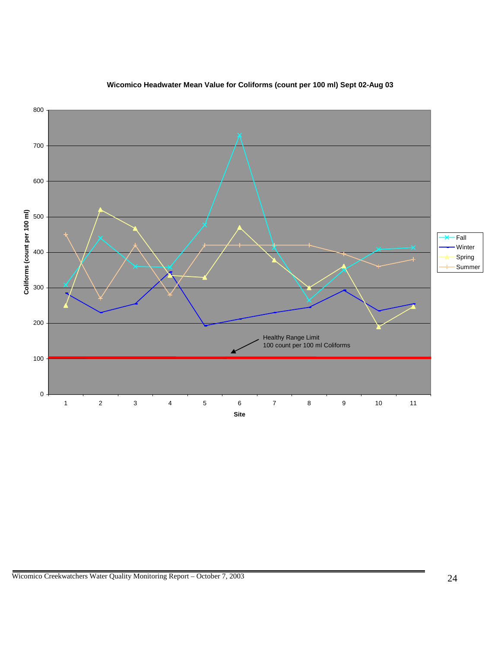

#### **Wicomico Headwater Mean Value for Coliforms (count per 100 ml) Sept 02-Aug 03**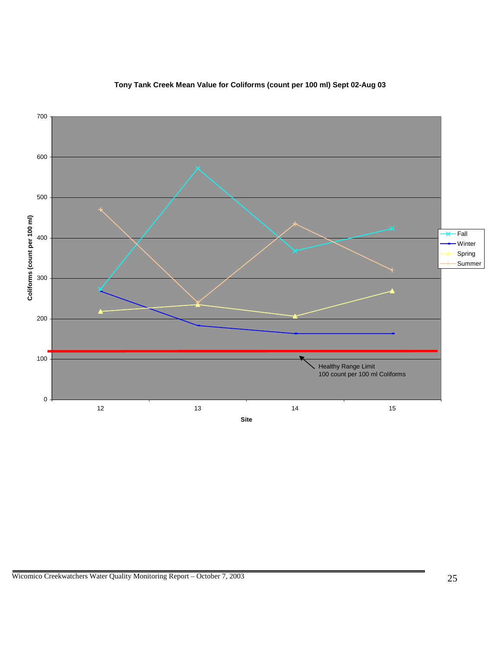

#### **Tony Tank Creek Mean Value for Coliforms (count per 100 ml) Sept 02-Aug 03**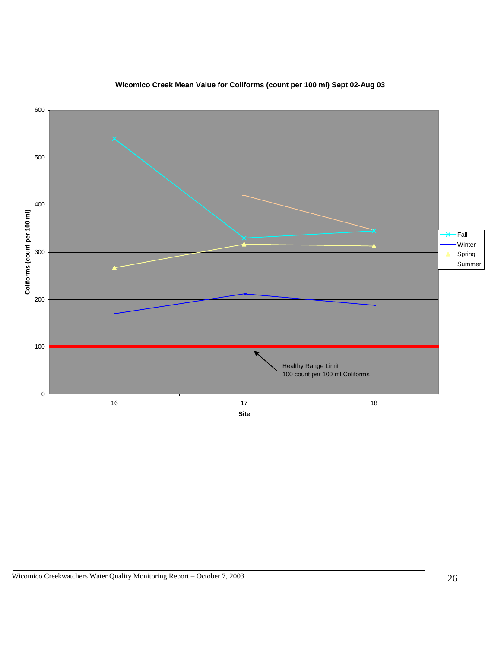

#### **Wicomico Creek Mean Value for Coliforms (count per 100 ml) Sept 02-Aug 03**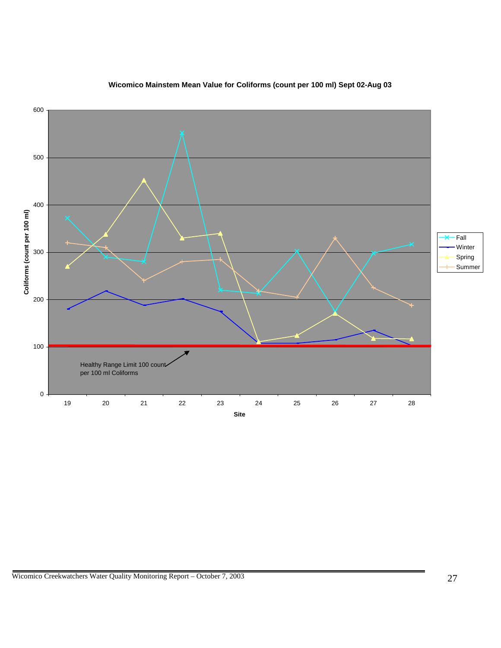

#### **Wicomico Mainstem Mean Value for Coliforms (count per 100 ml) Sept 02-Aug 03**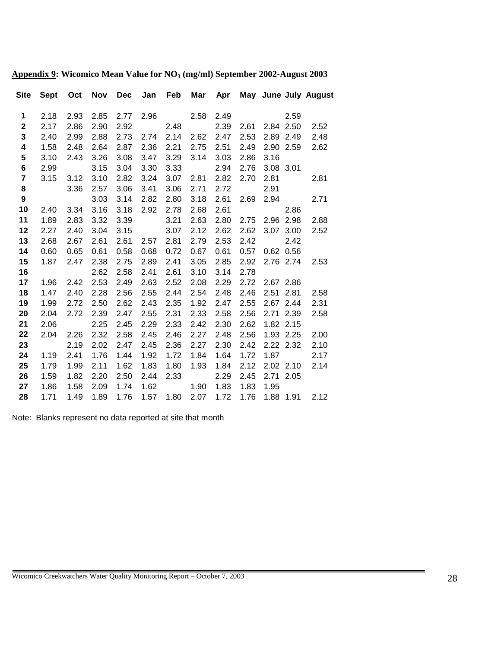|                         |      |      |      |      |      |      |      |      |      |                |             | Site Sept Oct Nov Dec Jan Feb Mar Apr May June July August |
|-------------------------|------|------|------|------|------|------|------|------|------|----------------|-------------|------------------------------------------------------------|
| 1                       | 2.18 | 2.93 | 2.85 | 2.77 |      | 2.96 | 2.58 |      | 2.49 |                | 2.59        |                                                            |
| $\mathbf 2$             | 2.17 | 2.86 | 2.90 | 2.92 |      | 2.48 |      | 2.39 | 2.61 |                | 2.84 2.50   | 2.52                                                       |
| 3                       | 2.40 | 2.99 | 2.88 | 2.73 | 2.74 | 2.14 | 2.62 | 2.47 | 2.53 |                | 2.89 2.49   | 2.48                                                       |
| $\overline{\mathbf{4}}$ | 1.58 | 2.48 | 2.64 | 2.87 | 2.36 | 2.21 | 2.75 | 2.51 | 2.49 |                | 2.90 2.59   | 2.62                                                       |
| 5                       | 3.10 | 2.43 | 3.26 | 3.08 | 3.47 | 3.29 | 3.14 | 3.03 | 2.86 | 3.16           |             |                                                            |
| $\bf 6$                 | 2.99 |      | 3.15 | 3.04 | 3.30 | 3.33 |      | 2.94 | 2.76 |                | 3.08 3.01   |                                                            |
| $\overline{\mathbf{r}}$ | 3.15 | 3.12 | 3.10 | 2.82 | 3.24 | 3.07 | 2.81 | 2.82 | 2.70 | 2.81           |             | 2.81                                                       |
| 8                       |      | 3.36 | 2.57 | 3.06 | 3.41 | 3.06 | 2.71 | 2.72 |      | 2.91           |             |                                                            |
| 9                       |      |      | 3.03 | 3.14 | 2.82 | 2.80 | 3.18 | 2.61 | 2.69 |                | 2.94        | 2.71                                                       |
| 10                      | 2.40 | 3.34 | 3.16 | 3.18 | 2.92 | 2.78 | 2.68 | 2.61 |      |                | 2.86        |                                                            |
| 11                      | 1.89 | 2.83 | 3.32 | 3.39 |      | 3.21 | 2.63 | 2.80 |      | 2.75 2.96 2.98 |             | 2.88                                                       |
| 12                      | 2.27 | 2.40 | 3.04 | 3.15 |      | 3.07 | 2.12 | 2.62 | 2.62 |                | 3.07 3.00   | 2.52                                                       |
| 13                      | 2.68 | 2.67 | 2.61 | 2.61 | 2.57 | 2.81 | 2.79 | 2.53 | 2.42 |                | 2.42        |                                                            |
| 14                      | 0.60 | 0.65 | 0.61 | 0.58 | 0.68 | 0.72 | 0.67 | 0.61 | 0.57 |                | $0.62$ 0.56 |                                                            |
| 15                      | 1.87 | 2.47 | 2.38 | 2.75 | 2.89 | 2.41 | 3.05 | 2.85 | 2.92 |                | 2.76 2.74   | 2.53                                                       |
| 16                      |      |      | 2.62 | 2.58 | 2.41 | 2.61 | 3.10 | 3.14 | 2.78 |                |             |                                                            |
| 17                      | 1.96 | 2.42 | 2.53 | 2.49 | 2.63 | 2.52 | 2.08 | 2.29 | 2.72 |                | 2.67 2.86   |                                                            |
| 18                      | 1.47 | 2.40 | 2.28 | 2.56 | 2.55 | 2.44 | 2.54 | 2.48 | 2.46 | 2.51           | 2.81        | 2.58                                                       |
| 19                      | 1.99 | 2.72 | 2.50 | 2.62 | 2.43 | 2.35 | 1.92 | 2.47 | 2.55 |                | 2.67 2.44   | 2.31                                                       |
| 20                      | 2.04 | 2.72 | 2.39 | 2.47 | 2.55 | 2.31 | 2.33 | 2.58 | 2.56 |                | 2.71 2.39   | 2.58                                                       |
| 21                      | 2.06 |      | 2.25 | 2.45 | 2.29 | 2.33 | 2.42 | 2.30 | 2.62 |                | 1.82 2.15   |                                                            |
| 22                      | 2.04 | 2.26 | 2.32 | 2.58 | 2.45 | 2.46 | 2.27 | 2.48 | 2.56 |                | 1.93 2.25   | 2.00                                                       |
| 23                      |      | 2.19 | 2.02 | 2.47 | 2.45 | 2.36 | 2.27 | 2.30 | 2.42 |                | 2.22 2.32   | 2.10                                                       |
| 24                      | 1.19 | 2.41 | 1.76 | 1.44 | 1.92 | 1.72 | 1.84 | 1.64 | 1.72 | 1.87           |             | 2.17                                                       |
| 25                      | 1.79 | 1.99 | 2.11 | 1.62 | 1.83 | 1.80 | 1.93 | 1.84 | 2.12 |                | 2.02 2.10   | 2.14                                                       |
| 26                      | 1.59 | 1.82 | 2.20 | 2.50 | 2.44 | 2.33 |      | 2.29 | 2.45 |                | 2.71 2.05   |                                                            |
| 27                      | 1.86 | 1.58 | 2.09 | 1.74 | 1.62 |      | 1.90 | 1.83 | 1.83 | 1.95           |             |                                                            |
| 28                      | 1.71 | 1.49 | 1.89 | 1.76 | 1.57 | 1.80 | 2.07 | 1.72 | 1.76 |                | 1.88 1.91   | 2.12                                                       |

# **Appendix 9: Wicomico Mean Value for NO3 (mg/ml) September 2002-August 2003**

Note: Blanks represent no data reported at site that month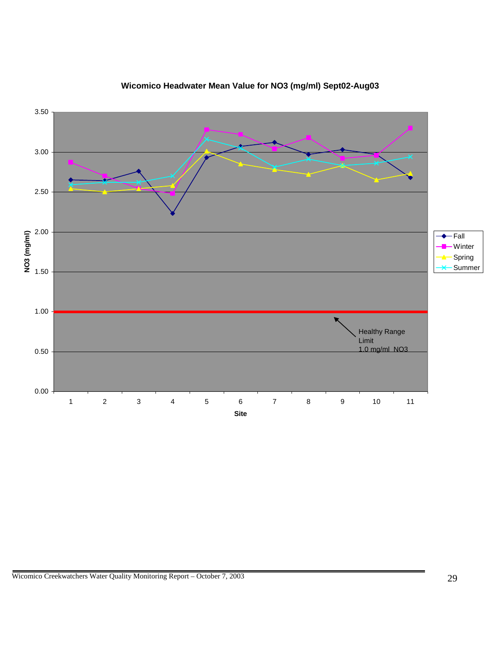

### **Wicomico Headwater Mean Value for NO3 (mg/ml) Sept02-Aug03**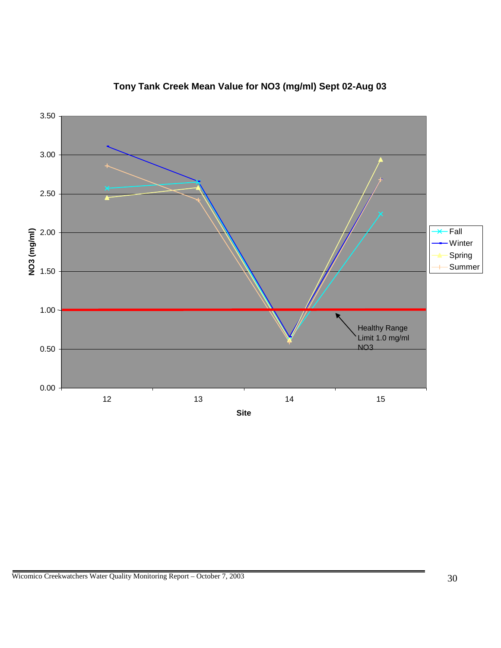

# **Tony Tank Creek Mean Value for NO3 (mg/ml) Sept 02-Aug 03**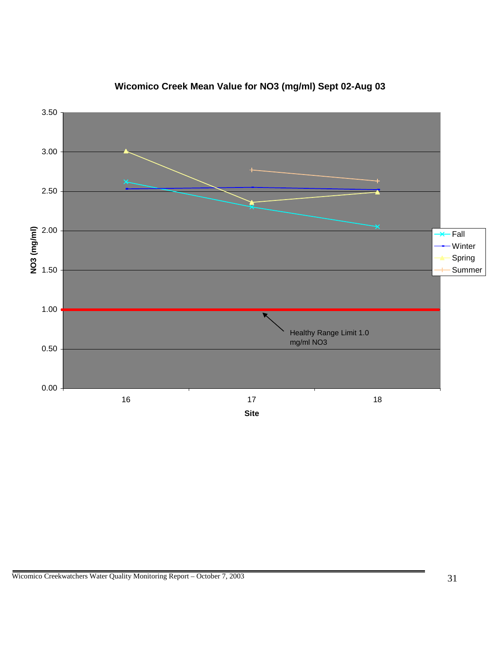

# **Wicomico Creek Mean Value for NO3 (mg/ml) Sept 02-Aug 03**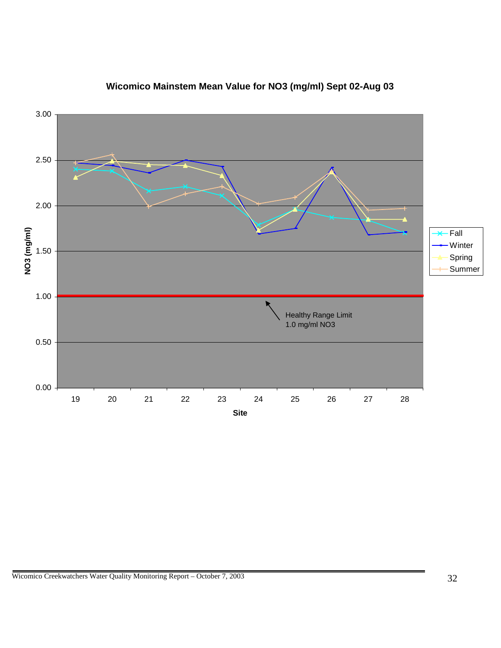

# **Wicomico Mainstem Mean Value for NO3 (mg/ml) Sept 02-Aug 03**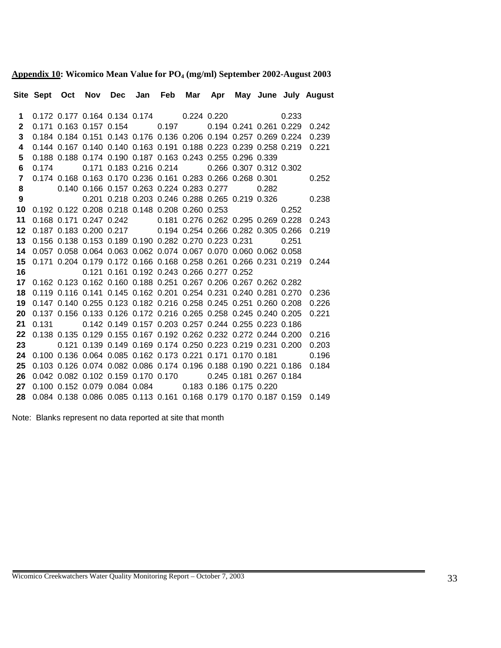#### Appendix 10: Wicomico Mean Value for PO<sub>4</sub> (mg/ml) September 2002-August 2003

**Site Sept Oct Nov Dec Jan Feb Mar Apr May June July August** 0.172 0.177 0.164 0.134 0.174 0.224 0.220 0.233 0.171 0.163 0.157 0.154 0.197 0.194 0.241 0.261 0.229 0.242 0.184 0.184 0.151 0.143 0.176 0.136 0.206 0.194 0.257 0.269 0.224 0.239 0.144 0.167 0.140 0.140 0.163 0.191 0.188 0.223 0.239 0.258 0.219 0.221 0.188 0.188 0.174 0.190 0.187 0.163 0.243 0.255 0.296 0.339 0.174 0.171 0.183 0.216 0.214 0.266 0.307 0.312 0.302 0.174 0.168 0.163 0.170 0.236 0.161 0.283 0.266 0.268 0.301 0.252 0.140 0.166 0.157 0.263 0.224 0.283 0.277 0.282 0.201 0.218 0.203 0.246 0.288 0.265 0.219 0.326 0.238 0.192 0.122 0.208 0.218 0.148 0.208 0.260 0.253 0.252 0.168 0.171 0.247 0.242 0.181 0.276 0.262 0.295 0.269 0.228 0.243 0.187 0.183 0.200 0.217 0.194 0.254 0.266 0.282 0.305 0.266 0.219 0.156 0.138 0.153 0.189 0.190 0.282 0.270 0.223 0.231 0.251 0.057 0.058 0.064 0.063 0.062 0.074 0.067 0.070 0.060 0.062 0.058 0.171 0.204 0.179 0.172 0.166 0.168 0.258 0.261 0.266 0.231 0.219 0.244 0.121 0.161 0.192 0.243 0.266 0.277 0.252 0.162 0.123 0.162 0.160 0.188 0.251 0.267 0.206 0.267 0.262 0.282 0.119 0.116 0.141 0.145 0.162 0.201 0.254 0.231 0.240 0.281 0.270 0.236 0.147 0.140 0.255 0.123 0.182 0.216 0.258 0.245 0.251 0.260 0.208 0.226 0.137 0.156 0.133 0.126 0.172 0.216 0.265 0.258 0.245 0.240 0.205 0.221 0.131 0.142 0.149 0.157 0.203 0.257 0.244 0.255 0.223 0.186 0.138 0.135 0.129 0.155 0.167 0.192 0.262 0.232 0.272 0.244 0.200 0.216 0.121 0.139 0.149 0.169 0.174 0.250 0.223 0.219 0.231 0.200 0.203 0.100 0.136 0.064 0.085 0.162 0.173 0.221 0.171 0.170 0.181 0.196 0.103 0.126 0.074 0.082 0.086 0.174 0.196 0.188 0.190 0.221 0.186 0.184 0.042 0.082 0.102 0.159 0.170 0.170 0.245 0.181 0.267 0.184 0.100 0.152 0.079 0.084 0.084 0.183 0.186 0.175 0.220 0.084 0.138 0.086 0.085 0.113 0.161 0.168 0.179 0.170 0.187 0.159 0.149

Note: Blanks represent no data reported at site that month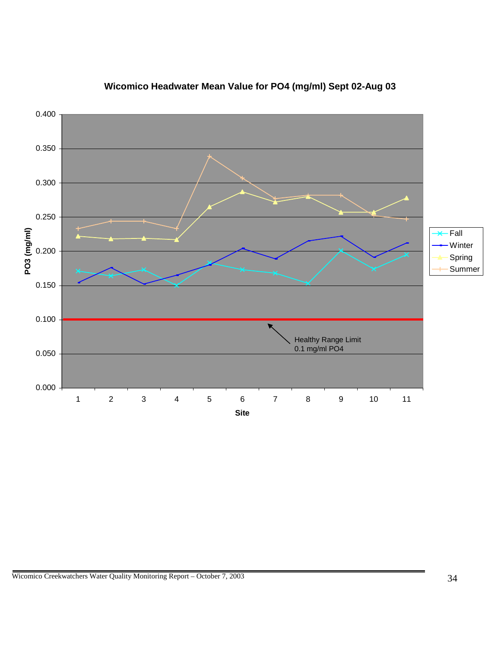

# **Wicomico Headwater Mean Value for PO4 (mg/ml) Sept 02-Aug 03**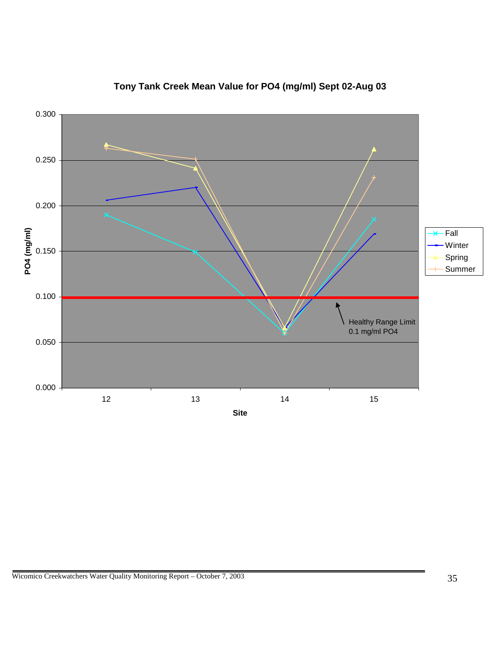

# **Tony Tank Creek Mean Value for PO4 (mg/ml) Sept 02-Aug 03**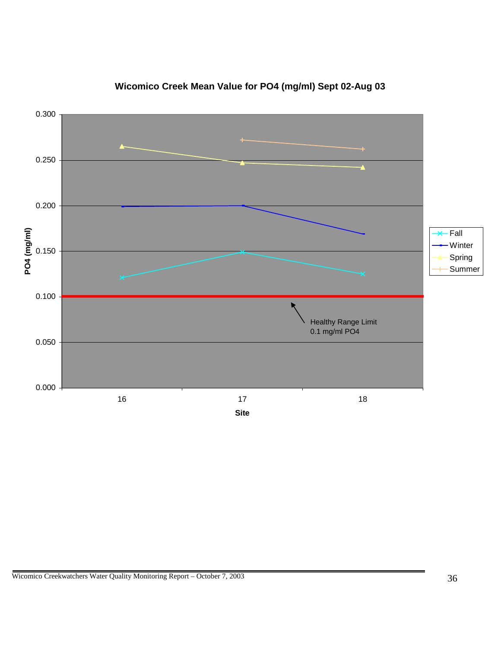

# **Wicomico Creek Mean Value for PO4 (mg/ml) Sept 02-Aug 03**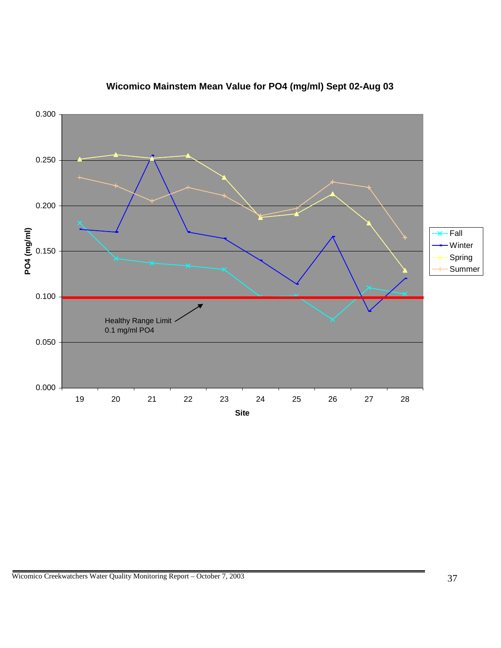

# **Wicomico Mainstem Mean Value for PO4 (mg/ml) Sept 02-Aug 03**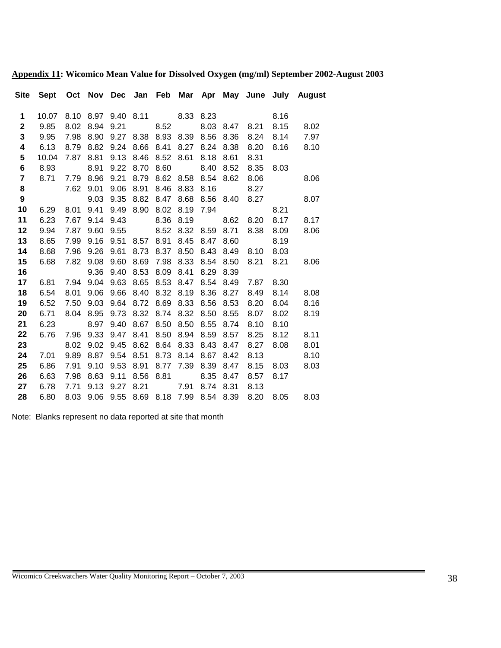|                |       |           |      |                                    |      |                |                     |           |           |           |      | Site Sept Oct Nov Dec Jan Feb Mar Apr May June July August |
|----------------|-------|-----------|------|------------------------------------|------|----------------|---------------------|-----------|-----------|-----------|------|------------------------------------------------------------|
| $\mathbf{1}$   | 10.07 | 8.10      |      | 8.97 9.40 8.11 8.33 8.23           |      |                |                     |           |           |           | 8.16 |                                                            |
| $\mathbf{2}$   | 9.85  | 8.02      | 8.94 | 9.21                               |      |                | 8.52                |           | 8.03 8.47 | 8.21      | 8.15 | 8.02                                                       |
| 3              | 9.95  | 7.98      | 8.90 | 9.27 8.38 8.93 8.39 8.56 8.36      |      |                |                     |           |           | 8.24      | 8.14 | 7.97                                                       |
| 4              | 6.13  | 8.79      | 8.82 | 9.24                               | 8.66 | 8.41           | 8.27                | 8.24      | 8.38      | 8.20      | 8.16 | 8.10                                                       |
| 5              | 10.04 | 7.87      | 8.81 | 9.13                               | 8.46 |                | 8.52 8.61           | 8.18      | 8.61      | 8.31      |      |                                                            |
| 6              | 8.93  |           | 8.91 | 9.22                               | 8.70 | 8.60           |                     | 8.40      | 8.52      | 8.35      | 8.03 |                                                            |
| $\overline{7}$ | 8.71  | 7.79 8.96 |      | 9.21                               | 8.79 |                | 8.62 8.58 8.54 8.62 |           |           | 8.06      |      | 8.06                                                       |
| 8              |       | 7.62      | 9.01 | 9.06                               | 8.91 | 8.46           | 8.83                | 8.16      |           | 8.27      |      |                                                            |
| 9              |       |           | 9.03 | 9.35                               | 8.82 |                | 8.47 8.68           |           | 8.56 8.40 |           | 8.27 | 8.07                                                       |
| 10             | 6.29  | 8.01      | 9.41 | 9.49                               | 8.90 |                | 8.02 8.19           |           | 7.94      |           | 8.21 |                                                            |
| 11             | 6.23  | 7.67      |      | 9.14 9.43                          |      |                | 8.36 8.19           |           |           | 8.62 8.20 | 8.17 | 8.17                                                       |
| 12             | 9.94  | 7.87      | 9.60 | 9.55                               |      |                | 8.52 8.32 8.59 8.71 |           |           | 8.38      | 8.09 | 8.06                                                       |
| 13             | 8.65  | 7.99      | 9.16 | 9.51                               | 8.57 | 8.91           | 8.45                | 8.47      | 8.60      |           | 8.19 |                                                            |
| 14             | 8.68  | 7.96      | 9.26 | 9.61                               |      | 8.73 8.37 8.50 |                     | 8.43 8.49 |           | 8.10      | 8.03 |                                                            |
| 15             | 6.68  | 7.82      | 9.08 | 9.60                               | 8.69 |                | 7.98 8.33 8.54      |           | 8.50      | 8.21      | 8.21 | 8.06                                                       |
| 16             |       |           | 9.36 | 9.40                               | 8.53 | 8.09           | 8.41                | 8.29      | 8.39      |           |      |                                                            |
| 17             | 6.81  | 7.94      | 9.04 | 9.63                               | 8.65 | 8.53           | 8.47                | 8.54      | 8.49      | 7.87      | 8.30 |                                                            |
| 18             | 6.54  | 8.01      | 9.06 | 9.66                               | 8.40 |                | 8.32 8.19           | 8.36      | 8.27      | 8.49      | 8.14 | 8.08                                                       |
| 19             | 6.52  | 7.50      | 9.03 | 9.64                               | 8.72 | 8.69           | 8.33                | 8.56      | 8.53      | 8.20      | 8.04 | 8.16                                                       |
| 20             | 6.71  | 8.04      | 8.95 | 9.73 8.32                          |      |                | 8.74 8.32           | 8.50      | 8.55      | 8.07      | 8.02 | 8.19                                                       |
| 21             | 6.23  |           | 8.97 | 9.40                               | 8.67 | 8.50           | 8.50                | 8.55      | 8.74      | 8.10      | 8.10 |                                                            |
| 22             | 6.76  | 7.96      | 9.33 | 9.47 8.41                          |      | 8.50           | 8.94                | 8.59      | 8.57      | 8.25      | 8.12 | 8.11                                                       |
| 23             |       | 8.02      | 9.02 | 9.45                               | 8.62 | 8.64           | 8.33                | 8.43      | 8.47      | 8.27      | 8.08 | 8.01                                                       |
| 24             | 7.01  | 9.89      |      | 8.87 9.54                          | 8.51 |                | 8.73 8.14           | 8.67      | 8.42      | 8.13      |      | 8.10                                                       |
| 25             | 6.86  | 7.91      | 9.10 | 9.53                               | 8.91 |                | 8.77 7.39           | 8.39      | 8.47      | 8.15      | 8.03 | 8.03                                                       |
| 26             | 6.63  | 7.98      | 8.63 | 9.11                               |      | 8.56 8.81      |                     | 8.35      | 8.47      | 8.57      | 8.17 |                                                            |
| 27             | 6.78  | 7.71      | 9.13 | 9.27                               |      | 8.21 7.91 8.74 |                     |           | 8.31      | 8.13      |      |                                                            |
| 28             | 6.80  | 8.03      |      | 9.06 9.55 8.69 8.18 7.99 8.54 8.39 |      |                |                     |           |           | 8.20      |      | 8.05 8.03                                                  |

**Appendix 11: Wicomico Mean Value for Dissolved Oxygen (mg/ml) September 2002-August 2003** 

Note: Blanks represent no data reported at site that month